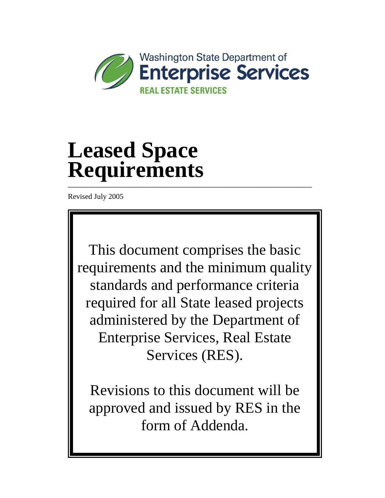

# **Leased Space Requirements \_\_\_\_\_\_\_\_\_\_\_\_\_\_\_\_\_\_\_\_\_\_\_\_\_\_\_\_\_\_\_\_\_\_\_\_\_\_\_\_\_\_\_\_\_\_\_\_\_\_\_\_\_\_\_\_\_\_\_\_\_\_\_\_\_\_\_\_\_\_\_\_\_\_\_\_\_**

Revised July 2005

This document comprises the basic requirements and the minimum quality standards and performance criteria required for all State leased projects administered by the Department of Enterprise Services, Real Estate Services (RES).

Revisions to this document will be approved and issued by RES in the form of Addenda.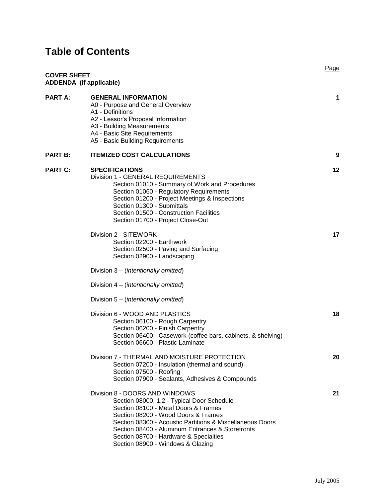# **Table of Contents**

| <b>COVER SHEET</b> | <b>ADDENDA</b> (if applicable)                                                                                                                                                                                                                                                                                                                              | Page |
|--------------------|-------------------------------------------------------------------------------------------------------------------------------------------------------------------------------------------------------------------------------------------------------------------------------------------------------------------------------------------------------------|------|
| <b>PART A:</b>     | <b>GENERAL INFORMATION</b><br>A0 - Purpose and General Overview<br>A1 - Definitions<br>A2 - Lessor's Proposal Information<br>A3 - Building Measurements<br>A4 - Basic Site Requirements<br>A5 - Basic Building Requirements                                                                                                                                 | 1    |
| <b>PART B:</b>     | <b>ITEMIZED COST CALCULATIONS</b>                                                                                                                                                                                                                                                                                                                           | 9    |
| <b>PART C:</b>     | <b>SPECIFICATIONS</b><br>Division 1 - GENERAL REQUIREMENTS<br>Section 01010 - Summary of Work and Procedures<br>Section 01060 - Regulatory Requirements<br>Section 01200 - Project Meetings & Inspections<br>Section 01300 - Submittals<br>Section 01500 - Construction Facilities<br>Section 01700 - Project Close-Out                                     | 12   |
|                    | Division 2 - SITEWORK<br>Section 02200 - Earthwork<br>Section 02500 - Paving and Surfacing<br>Section 02900 - Landscaping<br>Division 3 – ( <i>intentionally omitted</i> )<br>Division 4 – ( <i>intentionally omitted</i> )                                                                                                                                 | 17   |
|                    | Division 5 – ( <i>intentionally omitted</i> )<br>Division 6 - WOOD AND PLASTICS<br>Section 06100 - Rough Carpentry<br>Section 06200 - Finish Carpentry<br>Section 06400 - Casework (coffee bars, cabinets, & shelving)<br>Section 06600 - Plastic Laminate                                                                                                  | 18   |
|                    | Division 7 - THERMAL AND MOISTURE PROTECTION<br>Section 07200 - Insulation (thermal and sound)<br>Section 07500 - Roofing<br>Section 07900 - Sealants, Adhesives & Compounds                                                                                                                                                                                | 20   |
|                    | Division 8 - DOORS AND WINDOWS<br>Section 08000, 1.2 - Typical Door Schedule<br>Section 08100 - Metal Doors & Frames<br>Section 08200 - Wood Doors & Frames<br>Section 08300 - Acoustic Partitions & Miscellaneous Doors<br>Section 08400 - Aluminum Entrances & Storefronts<br>Section 08700 - Hardware & Specialties<br>Section 08900 - Windows & Glazing | 21   |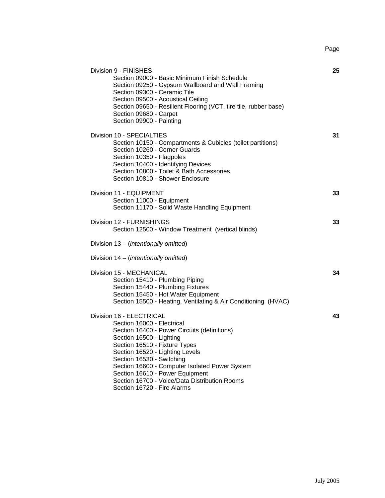Page

| Division 9 - FINISHES<br>Section 09000 - Basic Minimum Finish Schedule<br>Section 09250 - Gypsum Wallboard and Wall Framing<br>Section 09300 - Ceramic Tile<br>Section 09500 - Acoustical Ceiling<br>Section 09650 - Resilient Flooring (VCT, tire tile, rubber base)<br>Section 09680 - Carpet<br>Section 09900 - Painting                                                                              | 25 |
|----------------------------------------------------------------------------------------------------------------------------------------------------------------------------------------------------------------------------------------------------------------------------------------------------------------------------------------------------------------------------------------------------------|----|
| Division 10 - SPECIALTIES<br>Section 10150 - Compartments & Cubicles (toilet partitions)<br>Section 10260 - Corner Guards<br>Section 10350 - Flagpoles<br>Section 10400 - Identifying Devices<br>Section 10800 - Toilet & Bath Accessories<br>Section 10810 - Shower Enclosure                                                                                                                           | 31 |
| Division 11 - EQUIPMENT<br>Section 11000 - Equipment<br>Section 11170 - Solid Waste Handling Equipment                                                                                                                                                                                                                                                                                                   | 33 |
| Division 12 - FURNISHINGS<br>Section 12500 - Window Treatment (vertical blinds)                                                                                                                                                                                                                                                                                                                          | 33 |
| Division 13 - (intentionally omitted)                                                                                                                                                                                                                                                                                                                                                                    |    |
| Division 14 - (intentionally omitted)                                                                                                                                                                                                                                                                                                                                                                    |    |
| Division 15 - MECHANICAL<br>Section 15410 - Plumbing Piping<br>Section 15440 - Plumbing Fixtures<br>Section 15450 - Hot Water Equipment<br>Section 15500 - Heating, Ventilating & Air Conditioning (HVAC)                                                                                                                                                                                                | 34 |
| Division 16 - ELECTRICAL<br>Section 16000 - Electrical<br>Section 16400 - Power Circuits (definitions)<br>Section 16500 - Lighting<br>Section 16510 - Fixture Types<br>Section 16520 - Lighting Levels<br>Section 16530 - Switching<br>Section 16600 - Computer Isolated Power System<br>Section 16610 - Power Equipment<br>Section 16700 - Voice/Data Distribution Rooms<br>Section 16720 - Fire Alarms | 43 |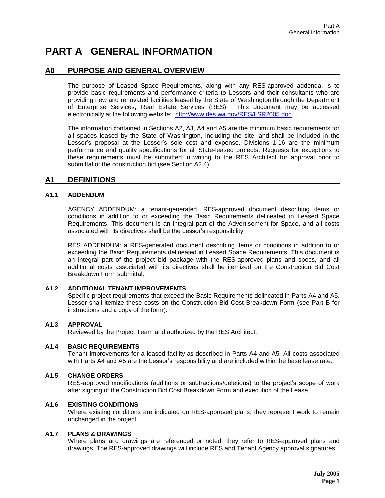# **PART A GENERAL INFORMATION**

# **A0 PURPOSE AND GENERAL OVERVIEW**

The purpose of Leased Space Requirements, along with any RES-approved addenda, is to provide basic requirements and performance criteria to Lessors and their consultants who are providing new and renovated facilities leased by the State of Washington through the Department of Enterprise Services, Real Estate Services (RES). This document may be accessed electronically at the following website: [http://www.des.wa.gov/RES/LSR2005.doc](http://www.ga.wa.gov/RES/LSR2005.doc)

The information contained in Sections A2, A3, A4 and A5 are the minimum basic requirements for all spaces leased by the State of Washington, including the site, and shall be included in the Lessor's proposal at the Lessor's sole cost and expense. Divisions 1-16 are the minimum performance and quality specifications for all State-leased projects. Requests for exceptions to these requirements must be submitted in writing to the RES Architect for approval prior to submittal of the construction bid (see Section A2.4).

## **A1 DEFINITIONS**

## **A1.1 ADDENDUM**

AGENCY ADDENDUM: a tenant-generated, RES-approved document describing items or conditions in addition to or exceeding the Basic Requirements delineated in Leased Space Requirements. This document is an integral part of the Advertisement for Space, and all costs associated with its directives shall be the Lessor's responsibility.

RES ADDENDUM: a RES-generated document describing items or conditions in addition to or exceeding the Basic Requirements delineated in Leased Space Requirements. This document is an integral part of the project bid package with the RES-approved plans and specs, and all additional costs associated with its directives shall be itemized on the Construction Bid Cost Breakdown Form submittal.

## **A1.2 ADDITIONAL TENANT IMPROVEMENTS**

Specific project requirements that exceed the Basic Requirements delineated in Parts A4 and A5. Lessor shall itemize these costs on the Construction Bid Cost Breakdown Form (see Part B for instructions and a copy of the form).

#### **A1.3 APPROVAL**

Reviewed by the Project Team and authorized by the RES Architect.

## **A1.4 BASIC REQUIREMENTS**

Tenant improvements for a leased facility as described in Parts A4 and A5*.* All costs associated with Parts A4 and A5 are the Lessor's responsibility and are included within the base lease rate.

#### **A1.5 CHANGE ORDERS**

RES-approved modifications (additions or subtractions/deletions) to the project's scope of work after signing of the Construction Bid Cost Breakdown Form and execution of the Lease.

#### **A1.6 EXISTING CONDITIONS**

Where existing conditions are indicated on RES-approved plans, they represent work to remain unchanged in the project.

#### **A1.7 PLANS & DRAWINGS**

Where plans and drawings are referenced or noted, they refer to RES-approved plans and drawings. The RES-approved drawings will include RES and Tenant Agency approval signatures.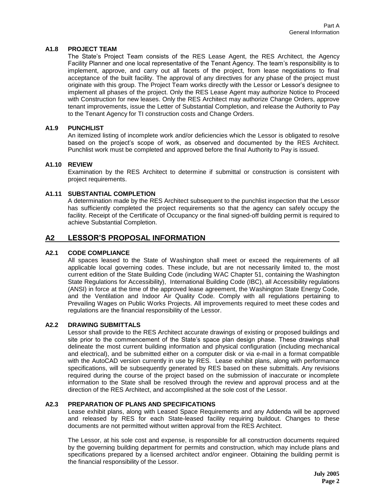## **A1.8 PROJECT TEAM**

The State's Project Team consists of the RES Lease Agent, the RES Architect, the Agency Facility Planner and one local representative of the Tenant Agency. The team's responsibility is to implement, approve, and carry out all facets of the project, from lease negotiations to final acceptance of the built facility. The approval of any directives for any phase of the project must originate with this group. The Project Team works directly with the Lessor or Lessor's designee to implement all phases of the project. Only the RES Lease Agent may authorize Notice to Proceed with Construction for new leases. Only the RES Architect may authorize Change Orders, approve tenant improvements, issue the Letter of Substantial Completion, and release the Authority to Pay to the Tenant Agency for TI construction costs and Change Orders.

## **A1.9 PUNCHLIST**

An itemized listing of incomplete work and/or deficiencies which the Lessor is obligated to resolve based on the project's scope of work, as observed and documented by the RES Architect. Punchlist work must be completed and approved before the final Authority to Pay is issued.

## **A1.10 REVIEW**

Examination by the RES Architect to determine if submittal or construction is consistent with project requirements.

## **A1.11 SUBSTANTIAL COMPLETION**

A determination made by the RES Architect subsequent to the punchlist inspection that the Lessor has sufficiently completed the project requirements so that the agency can safely occupy the facility. Receipt of the Certificate of Occupancy or the final signed-off building permit is required to achieve Substantial Completion.

# **A2 LESSOR'S PROPOSAL INFORMATION**

### **A2.1 CODE COMPLIANCE**

All spaces leased to the State of Washington shall meet or exceed the requirements of all applicable local governing codes. These include, but are not necessarily limited to, the most current edition of the State Building Code (including WAC Chapter 51, containing the Washington State Regulations for Accessibility), International Building Code (IBC), all Accessibility regulations (ANSI) in force at the time of the approved lease agreement, the Washington State Energy Code, and the Ventilation and Indoor Air Quality Code. Comply with all regulations pertaining to Prevailing Wages on Public Works Projects. All improvements required to meet these codes and regulations are the financial responsibility of the Lessor.

### **A2.2 DRAWING SUBMITTALS**

Lessor shall provide to the RES Architect accurate drawings of existing or proposed buildings and site prior to the commencement of the State's space plan design phase. These drawings shall delineate the most current building information and physical configuration (including mechanical and electrical), and be submitted either on a computer disk or via e-mail in a format compatible with the AutoCAD version currently in use by RES. Lease exhibit plans, along with performance specifications, will be subsequently generated by RES based on these submittals. Any revisions required during the course of the project based on the submission of inaccurate or incomplete information to the State shall be resolved through the review and approval process and at the direction of the RES Architect, and accomplished at the sole cost of the Lessor.

## **A2.3 PREPARATION OF PLANS AND SPECIFICATIONS**

Lease exhibit plans, along with Leased Space Requirements and any Addenda will be approved and released by RES for each State-leased facility requiring buildout. Changes to these documents are not permitted without written approval from the RES Architect.

The Lessor, at his sole cost and expense, is responsible for all construction documents required by the governing building department for permits and construction, which may include plans and specifications prepared by a licensed architect and/or engineer. Obtaining the building permit is the financial responsibility of the Lessor.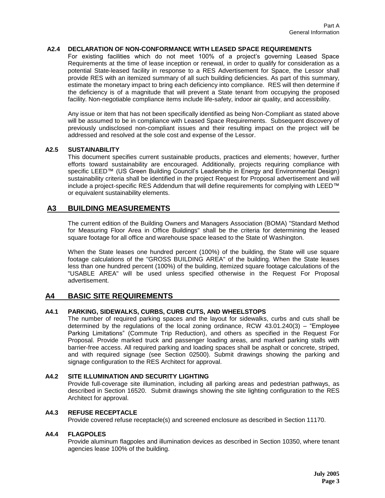## **A2.4 DECLARATION OF NON-CONFORMANCE WITH LEASED SPACE REQUIREMENTS**

For existing facilities which do not meet 100% of a project's governing Leased Space Requirements at the time of lease inception or renewal, in order to qualify for consideration as a potential State-leased facility in response to a RES Advertisement for Space, the Lessor shall provide RES with an itemized summary of all such building deficiencies. As part of this summary, estimate the monetary impact to bring each deficiency into compliance. RES will then determine if the deficiency is of a magnitude that will prevent a State tenant from occupying the proposed facility. Non-negotiable compliance items include life-safety, indoor air quality, and accessibility.

Any issue or item that has not been specifically identified as being Non-Compliant as stated above will be assumed to be in compliance with Leased Space Requirements. Subsequent discovery of previously undisclosed non-compliant issues and their resulting impact on the project will be addressed and resolved at the sole cost and expense of the Lessor.

#### **A2.5 SUSTAINABILITY**

This document specifies current sustainable products, practices and elements; however, further efforts toward sustainability are encouraged. Additionally, projects requiring compliance with specific LEED™ (US Green Building Council's Leadership in Energy and Environmental Design) sustainability criteria shall be identified in the project Request for Proposal advertisement and will include a project-specific RES Addendum that will define requirements for complying with LEED™ or equivalent sustainability elements.

## **A3 BUILDING MEASUREMENTS**

The current edition of the Building Owners and Managers Association (BOMA) "Standard Method for Measuring Floor Area in Office Buildings" shall be the criteria for determining the leased square footage for all office and warehouse space leased to the State of Washington.

When the State leases one hundred percent (100%) of the building, the State will use square footage calculations of the "GROSS BUILDING AREA" of the building. When the State leases less than one hundred percent (100%) of the building, itemized square footage calculations of the "USABLE AREA" will be used unless specified otherwise in the Request For Proposal advertisement.

## **A4 BASIC SITE REQUIREMENTS**

## **A4.1 PARKING, SIDEWALKS, CURBS, CURB CUTS, AND WHEELSTOPS**

The number of required parking spaces and the layout for sidewalks, curbs and cuts shall be determined by the regulations of the local zoning ordinance, RCW 43.01.240(3) – "Employee Parking Limitations" (Commute Trip Reduction), and others as specified in the Request For Proposal. Provide marked truck and passenger loading areas, and marked parking stalls with barrier-free access. All required parking and loading spaces shall be asphalt or concrete, striped, and with required signage (see Section 02500). Submit drawings showing the parking and signage configuration to the RES Architect for approval.

#### **A4.2 SITE ILLUMINATION AND SECURITY LIGHTING**

Provide full-coverage site illumination, including all parking areas and pedestrian pathways, as described in Section 16520. Submit drawings showing the site lighting configuration to the RES Architect for approval.

### **A4.3 REFUSE RECEPTACLE**

Provide covered refuse receptacle(s) and screened enclosure as described in Section 11170.

#### **A4.4 FLAGPOLES**

Provide aluminum flagpoles and illumination devices as described in Section 10350, where tenant agencies lease 100% of the building.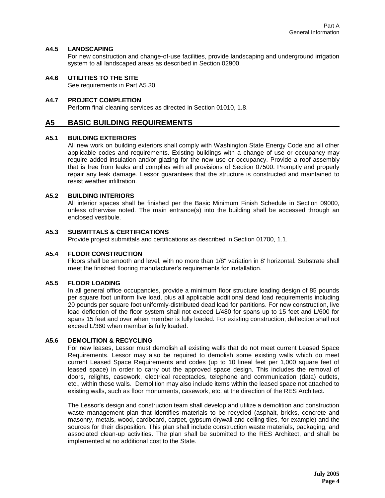## **A4.5 LANDSCAPING**

For new construction and change-of-use facilities, provide landscaping and underground irrigation system to all landscaped areas as described in Section 02900.

### **A4.6 UTILITIES TO THE SITE**

See requirements in Part A5.30.

#### **A4.7 PROJECT COMPLETION**

Perform final cleaning services as directed in Section 01010, 1.8.

## **A5 BASIC BUILDING REQUIREMENTS**

#### **A5.1 BUILDING EXTERIORS**

All new work on building exteriors shall comply with Washington State Energy Code and all other applicable codes and requirements. Existing buildings with a change of use or occupancy may require added insulation and/or glazing for the new use or occupancy. Provide a roof assembly that is free from leaks and complies with all provisions of Section 07500. Promptly and properly repair any leak damage. Lessor guarantees that the structure is constructed and maintained to resist weather infiltration.

#### **A5.2 BUILDING INTERIORS**

All interior spaces shall be finished per the Basic Minimum Finish Schedule in Section 09000, unless otherwise noted. The main entrance(s) into the building shall be accessed through an enclosed vestibule.

## **A5.3 SUBMITTALS & CERTIFICATIONS**

Provide project submittals and certifications as described in Section 01700, 1.1.

#### **A5.4 FLOOR CONSTRUCTION**

Floors shall be smooth and level, with no more than 1/8" variation in 8' horizontal. Substrate shall meet the finished flooring manufacturer's requirements for installation.

#### **A5.5 FLOOR LOADING**

In all general office occupancies, provide a minimum floor structure loading design of 85 pounds per square foot uniform live load, plus all applicable additional dead load requirements including 20 pounds per square foot uniformly-distributed dead load for partitions. For new construction, live load deflection of the floor system shall not exceed L/480 for spans up to 15 feet and L/600 for spans 15 feet and over when member is fully loaded. For existing construction, deflection shall not exceed L/360 when member is fully loaded.

#### **A5.6 DEMOLITION & RECYCLING**

For new leases, Lessor must demolish all existing walls that do not meet current Leased Space Requirements. Lessor may also be required to demolish some existing walls which do meet current Leased Space Requirements and codes (up to 10 lineal feet per 1,000 square feet of leased space) in order to carry out the approved space design. This includes the removal of doors, relights, casework, electrical receptacles, telephone and communication (data) outlets, etc., within these walls. Demolition may also include items within the leased space not attached to existing walls, such as floor monuments, casework, etc. at the direction of the RES Architect.

The Lessor's design and construction team shall develop and utilize a demolition and construction waste management plan that identifies materials to be recycled (asphalt, bricks, concrete and masonry, metals, wood, cardboard, carpet, gypsum drywall and ceiling tiles, for example) and the sources for their disposition. This plan shall include construction waste materials, packaging, and associated clean-up activities. The plan shall be submitted to the RES Architect, and shall be implemented at no additional cost to the State.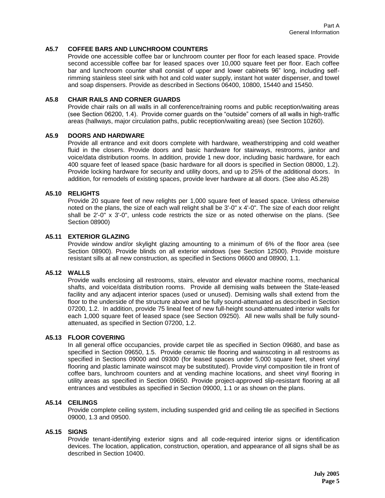## **A5.7 COFFEE BARS AND LUNCHROOM COUNTERS**

Provide one accessible coffee bar or lunchroom counter per floor for each leased space. Provide second accessible coffee bar for leased spaces over 10,000 square feet per floor. Each coffee bar and lunchroom counter shall consist of upper and lower cabinets 96" long, including selfrimming stainless steel sink with hot and cold water supply, instant hot water dispenser, and towel and soap dispensers. Provide as described in Sections 06400, 10800, 15440 and 15450.

#### **A5.8 CHAIR RAILS AND CORNER GUARDS**

Provide chair rails on all walls in all conference/training rooms and public reception/waiting areas (see Section 06200, 1.4). Provide corner guards on the "outside" corners of all walls in high-traffic areas (hallways, major circulation paths, public reception/waiting areas) (see Section 10260).

#### **A5.9 DOORS AND HARDWARE**

Provide all entrance and exit doors complete with hardware, weatherstripping and cold weather fluid in the closers. Provide doors and basic hardware for stairways, restrooms, janitor and voice/data distribution rooms. In addition, provide 1 new door, including basic hardware, for each 400 square feet of leased space (basic hardware for all doors is specified in Section 08000, 1.2). Provide locking hardware for security and utility doors, and up to 25% of the additional doors. In addition, for remodels of existing spaces, provide lever hardware at all doors. (See also A5.28)

### **A5.10 RELIGHTS**

Provide 20 square feet of new relights per 1,000 square feet of leased space. Unless otherwise noted on the plans, the size of each wall relight shall be 3'-0" x 4'-0". The size of each door relight shall be 2'-0" x 3'-0", unless code restricts the size or as noted otherwise on the plans. (See Section 08900)

#### **A5.11 EXTERIOR GLAZING**

Provide window and/or skylight glazing amounting to a minimum of 6% of the floor area (see Section 08900). Provide blinds on all exterior windows (see Section 12500). Provide moisture resistant sills at all new construction, as specified in Sections 06600 and 08900, 1.1.

#### **A5.12 WALLS**

Provide walls enclosing all restrooms, stairs, elevator and elevator machine rooms, mechanical shafts, and voice/data distribution rooms. Provide all demising walls between the State-leased facility and any adjacent interior spaces (used or unused). Demising walls shall extend from the floor to the underside of the structure above and be fully sound-attenuated as described in Section 07200, 1.2. In addition, provide 75 lineal feet of new full-height sound-attenuated interior walls for each 1,000 square feet of leased space (see Section 09250). All new walls shall be fully soundattenuated, as specified in Section 07200, 1.2.

#### **A5.13 FLOOR COVERING**

In all general office occupancies, provide carpet tile as specified in Section 09680, and base as specified in Section 09650, 1.5. Provide ceramic tile flooring and wainscoting in all restrooms as specified in Sections 09000 and 09300 (for leased spaces under 5,000 square feet, sheet vinyl flooring and plastic laminate wainscot may be substituted). Provide vinyl composition tile in front of coffee bars, lunchroom counters and at vending machine locations, and sheet vinyl flooring in utility areas as specified in Section 09650. Provide project-approved slip-resistant flooring at all entrances and vestibules as specified in Section 09000, 1.1 or as shown on the plans.

## **A5.14 CEILINGS**

Provide complete ceiling system, including suspended grid and ceiling tile as specified in Sections 09000, 1.3 and 09500.

#### **A5.15 SIGNS**

Provide tenant-identifying exterior signs and all code-required interior signs or identification devices. The location, application, construction, operation, and appearance of all signs shall be as described in Section 10400.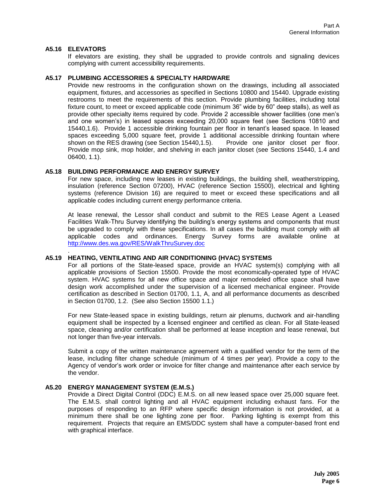## **A5.16 ELEVATORS**

.

If elevators are existing, they shall be upgraded to provide controls and signaling devices complying with current accessibility requirements.

#### **A5.17 PLUMBING ACCESSORIES & SPECIALTY HARDWARE**

Provide new restrooms in the configuration shown on the drawings, including all associated equipment, fixtures, and accessories as specified in Sections 10800 and 15440. Upgrade existing restrooms to meet the requirements of this section. Provide plumbing facilities, including total fixture count, to meet or exceed applicable code (minimum 36" wide by 60" deep stalls), as well as provide other specialty items required by code. Provide 2 accessible shower facilities (one men's and one women's) in leased spaces exceeding 20,000 square feet (see Sections 10810 and 15440,1.6). Provide 1 accessible drinking fountain per floor in tenant's leased space. In leased spaces exceeding 5,000 square feet, provide 1 additional accessible drinking fountain where shown on the RES drawing (see Section 15440,1.5). Provide one janitor closet per floor. Provide mop sink, mop holder, and shelving in each janitor closet (see Sections 15440, 1.4 and 06400, 1.1).

#### **A5.18 BUILDING PERFORMANCE AND ENERGY SURVEY**

For new space, including new leases in existing buildings, the building shell, weatherstripping, insulation (reference Section 07200), HVAC (reference Section 15500), electrical and lighting systems (reference Division 16) are required to meet or exceed these specifications and all applicable codes including current energy performance criteria.

At lease renewal, the Lessor shall conduct and submit to the RES Lease Agent a Leased Facilities Walk-Thru Survey identifying the building's energy systems and components that must be upgraded to comply with these specifications. In all cases the building must comply with all applicable codes and ordinances. Energy Survey forms are available online at <http://www.des.wa.gov/RES/WalkThruSurvey.doc>

#### **A5.19 HEATING, VENTILATING AND AIR CONDITIONING (HVAC) SYSTEMS**

For all portions of the State-leased space, provide an HVAC system(s) complying with all applicable provisions of Section 15500. Provide the most economically-operated type of HVAC system. HVAC systems for all new office space and major remodeled office space shall have design work accomplished under the supervision of a licensed mechanical engineer. Provide certification as described in Section 01700, 1.1, A, and all performance documents as described in Section 01700, 1.2. (See also Section 15500 1.1.)

For new State-leased space in existing buildings, return air plenums, ductwork and air-handling equipment shall be inspected by a licensed engineer and certified as clean. For all State-leased space, cleaning and/or certification shall be performed at lease inception and lease renewal, but not longer than five-year intervals.

Submit a copy of the written maintenance agreement with a qualified vendor for the term of the lease, including filter change schedule (minimum of 4 times per year). Provide a copy to the Agency of vendor's work order or invoice for filter change and maintenance after each service by the vendor.

### **A5.20 ENERGY MANAGEMENT SYSTEM (E.M.S.)**

Provide a Direct Digital Control (DDC) E.M.S. on all new leased space over 25,000 square feet. The E.M.S. shall control lighting and all HVAC equipment including exhaust fans. For the purposes of responding to an RFP where specific design information is not provided, at a minimum there shall be one lighting zone per floor. Parking lighting is exempt from this requirement. Projects that require an EMS/DDC system shall have a computer-based front end with graphical interface.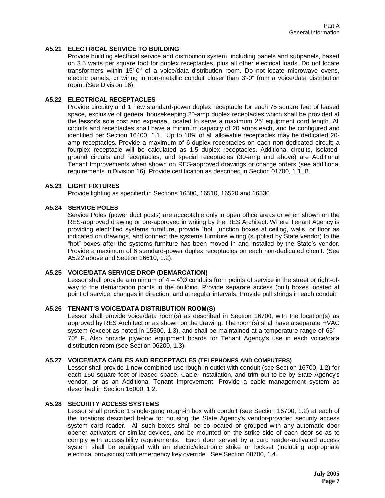## **A5.21 ELECTRICAL SERVICE TO BUILDING**

Provide building electrical service and distribution system, including panels and subpanels, based on 3.5 watts per square foot for duplex receptacles, plus all other electrical loads. Do not locate transformers within 15'-0" of a voice/data distribution room. Do not locate microwave ovens, electric panels, or wiring in non-metallic conduit closer than 3'-0" from a voice/data distribution room. (See Division 16).

#### **A5.22 ELECTRICAL RECEPTACLES**

Provide circuitry and 1 new standard-power duplex receptacle for each 75 square feet of leased space, exclusive of general housekeeping 20-amp duplex receptacles which shall be provided at the lessor's sole cost and expense, located to serve a maximum 25' equipment cord length. All circuits and receptacles shall have a minimum capacity of 20 amps each, and be configured and identified per Section 16400, 1.1. Up to 10% of all allowable receptacles may be dedicated 20 amp receptacles. Provide a maximum of 6 duplex receptacles on each non-dedicated circuit; a fourplex receptacle will be calculated as 1.5 duplex receptacles. Additional circuits, isolatedground circuits and receptacles, and special receptacles (30-amp and above) are Additional Tenant Improvements when shown on RES-approved drawings or change orders (see additional requirements in Division 16). Provide certification as described in Section 01700, 1.1, B.

#### **A5.23 LIGHT FIXTURES**

Provide lighting as specified in Sections 16500, 16510, 16520 and 16530.

#### **A5.24 SERVICE POLES**

Service Poles (power duct posts) are acceptable only in open office areas or when shown on the RES-approved drawing or pre-approved in writing by the RES Architect. Where Tenant Agency is providing electrified systems furniture, provide "hot" junction boxes at ceiling, walls, or floor as indicated on drawings, and connect the systems furniture wiring (supplied by State vendor) to the "hot" boxes after the systems furniture has been moved in and installed by the State's vendor. Provide a maximum of 6 standard-power duplex receptacles on each non-dedicated circuit. (See A5.22 above and Section 16610, 1.2).

#### **A5.25 VOICE/DATA SERVICE DROP (DEMARCATION)**

Lessor shall provide a minimum of  $4 - 4\degree\varnothing$  conduits from points of service in the street or right-ofway to the demarcation points in the building. Provide separate access (pull) boxes located at point of service, changes in direction, and at regular intervals. Provide pull strings in each conduit.

#### **A5.26 TENANT'S VOICE/DATA DISTRIBUTION ROOM(S)**

Lessor shall provide voice/data room(s) as described in Section 16700, with the location(s) as approved by RES Architect or as shown on the drawing. The room(s) shall have a separate HVAC system (except as noted in 15500, 1.3), and shall be maintained at a temperature range of  $65^{\circ}$  - $70^{\circ}$  F. Also provide plywood equipment boards for Tenant Agency's use in each voice/data distribution room (see Section 06200, 1.3).

#### **A5.27 VOICE/DATA CABLES AND RECEPTACLES (TELEPHONES AND COMPUTERS)**

Lessor shall provide 1 new combined-use rough-in outlet with conduit (see Section 16700, 1.2) for each 150 square feet of leased space. Cable, installation, and trim-out to be by State Agency's vendor, or as an Additional Tenant Improvement. Provide a cable management system as described in Section 16000, 1.2.

#### **A5.28 SECURITY ACCESS SYSTEMS**

Lessor shall provide 1 single-gang rough-in box with conduit (see Section 16700, 1.2) at each of the locations described below for housing the State Agency's vendor-provided security access system card reader. All such boxes shall be co-located or grouped with any automatic door opener activators or similar devices, and be mounted on the strike side of each door so as to comply with accessibility requirements. Each door served by a card reader-activated access system shall be equipped with an electric/electronic strike or lockset (including appropriate electrical provisions) with emergency key override. See Section 08700, 1.4.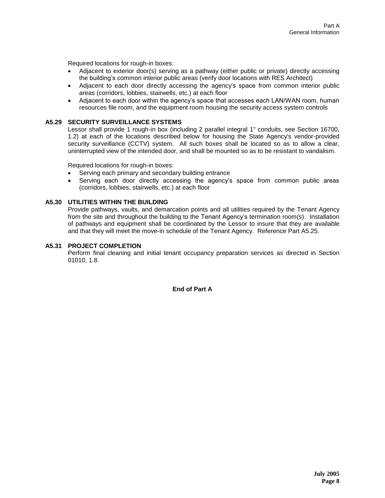Required locations for rough-in boxes:

- Adjacent to exterior door(s) serving as a pathway (either public or private) directly accessing the building's common interior public areas (verify door locations with RES Architect)
- Adjacent to each door directly accessing the agency's space from common interior public areas (corridors, lobbies, stairwells, etc.) at each floor
- Adjacent to each door within the agency's space that accesses each LAN/WAN room, human resources file room, and the equipment room housing the security access system controls

#### **A5.29 SECURITY SURVEILLANCE SYSTEMS**

Lessor shall provide 1 rough-in box (including 2 parallel integral 1" conduits, see Section 16700, 1.2) at each of the locations described below for housing the State Agency's vendor-provided security surveillance (CCTV) system. All such boxes shall be located so as to allow a clear, uninterrupted view of the intended door, and shall be mounted so as to be resistant to vandalism.

Required locations for rough-in boxes:

- Serving each primary and secondary building entrance
- Serving each door directly accessing the agency's space from common public areas (corridors, lobbies, stairwells, etc.) at each floor

#### **A5.30 UTILITIES WITHIN THE BUILDING**

Provide pathways, vaults, and demarcation points and all utilities required by the Tenant Agency from the site and throughout the building to the Tenant Agency's termination room(s). Installation of pathways and equipment shall be coordinated by the Lessor to insure that they are available and that they will meet the move-in schedule of the Tenant Agency. Reference Part A5.25.

#### **A5.31 PROJECT COMPLETION**

Perform final cleaning and initial tenant occupancy preparation services as directed in Section 01010, 1.8.

**End of Part A**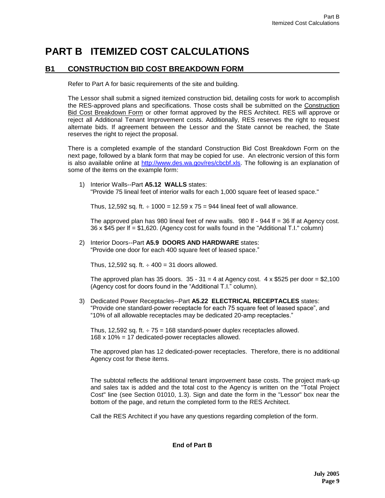# **PART B ITEMIZED COST CALCULATIONS**

# **B1 CONSTRUCTION BID COST BREAKDOWN FORM**

Refer to Part A for basic requirements of the site and building.

The Lessor shall submit a signed itemized construction bid, detailing costs for work to accomplish the RES-approved plans and specifications. Those costs shall be submitted on the Construction Bid Cost Breakdown Form or other format approved by the RES Architect. RES will approve or reject all Additional Tenant Improvement costs. Additionally, RES reserves the right to request alternate bids. If agreement between the Lessor and the State cannot be reached, the State reserves the right to reject the proposal.

There is a completed example of the standard Construction Bid Cost Breakdown Form on the next page, followed by a blank form that may be copied for use. An electronic version of this form is also available online at [http://www.des.wa.gov/res/cbcbf.xls.](http://www.ga.wa.gov/res/cbcbf.xls) The following is an explanation of some of the items on the example form:

1) Interior Walls--Part **A5.12 WALLS** states: "Provide 75 lineal feet of interior walls for each 1,000 square feet of leased space."

Thus, 12,592 sq. ft.  $\div$  1000 = 12.59 x 75 = 944 lineal feet of wall allowance.

The approved plan has 980 lineal feet of new walls. 980 lf - 944 lf = 36 lf at Agency cost. 36 x \$45 per lf = \$1,620. (Agency cost for walls found in the "Additional T.I." column)

2) Interior Doors--Part **A5.9 DOORS AND HARDWARE** states: "Provide one door for each 400 square feet of leased space."

Thus, 12,592 sq. ft.  $\div$  400 = 31 doors allowed.

The approved plan has 35 doors. 35 - 31 *=* 4 at Agency cost. 4 x \$525 per door = \$2,100 (Agency cost for doors found in the "Additional T.I." column).

3) Dedicated Power Receptacles--Part **A5.22 ELECTRICAL RECEPTACLES** states: "Provide one standard-power receptacle for each 75 square feet of leased space", and "10% of all allowable receptacles may be dedicated 20-amp receptacles."

Thus, 12,592 sq. ft.  $\div$  75 = 168 standard-power duplex receptacles allowed. 168 x 10% = 17 dedicated-power receptacles allowed.

The approved plan has 12 dedicated-power receptacles. Therefore, there is no additional Agency cost for these items.

The subtotal reflects the additional tenant improvement base costs. The project mark-up and sales tax is added and the total cost to the Agency is written on the "Total Project Cost" line (see Section 01010, 1.3). Sign and date the form in the "Lessor" box near the bottom of the page, and return the completed form to the RES Architect.

Call the RES Architect if you have any questions regarding completion of the form.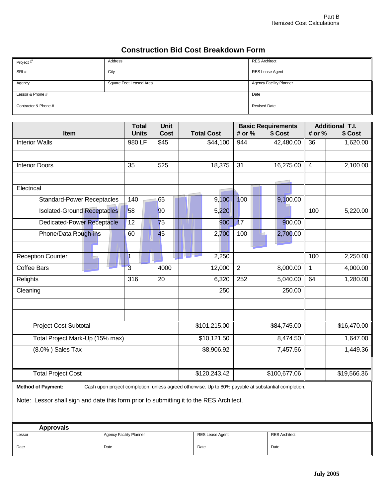# **Construction Bid Cost Breakdown Form**

| Project #            | Address                 | <b>RES Architect</b>           |
|----------------------|-------------------------|--------------------------------|
| SRL#                 | City                    | RES Lease Agent                |
| Agency               | Square Feet Leased Area | <b>Agency Facility Planner</b> |
| Lessor & Phone #     |                         | Date                           |
| Contractor & Phone # |                         | <b>Revised Date</b>            |

|                                                                                                                                  | <b>Total</b>   | <b>Unit</b>     |                   | <b>Basic Requirements</b><br># or %<br>\$ Cost |              | <b>Additional T.I.</b>  |             |
|----------------------------------------------------------------------------------------------------------------------------------|----------------|-----------------|-------------------|------------------------------------------------|--------------|-------------------------|-------------|
| Item                                                                                                                             | <b>Units</b>   | <b>Cost</b>     | <b>Total Cost</b> |                                                |              | # or %                  | \$ Cost     |
| <b>Interior Walls</b>                                                                                                            | 980 LF         | \$45            | \$44,100          | 944                                            | 42,480.00    | 36                      | 1,620.00    |
|                                                                                                                                  |                |                 |                   |                                                |              |                         |             |
| <b>Interior Doors</b>                                                                                                            | 35             | 525             | 18,375            | $\overline{31}$                                | 16,275.00    | $\overline{\mathbf{4}}$ | 2,100.00    |
|                                                                                                                                  |                |                 |                   |                                                |              |                         |             |
| Electrical                                                                                                                       |                |                 |                   |                                                |              |                         |             |
| <b>Standard-Power Receptacles</b>                                                                                                | 140            | 65              | 9,100             | 100                                            | 9,100.00     |                         |             |
| <b>Isolated-Ground Receptacles</b>                                                                                               | 58             | 90              | 5,220             |                                                |              | 100                     | 5,220.00    |
| Dedicated-Power Receptacle                                                                                                       | 12             | 75              | 900               | 17                                             | 900.00       |                         |             |
| Phone/Data Rough-ins                                                                                                             | 60             | 45              | 2,700             | 100                                            | 2,700.00     |                         |             |
|                                                                                                                                  |                |                 |                   |                                                |              |                         |             |
| Reception Counter                                                                                                                | 1              |                 | 2,250             |                                                |              | 100                     | 2,250.00    |
| <b>Coffee Bars</b>                                                                                                               | $\overline{3}$ | 4000            | 12,000            | $\overline{2}$                                 | 8,000.00     | $\mathbf{1}$            | 4,000.00    |
| Relights                                                                                                                         | 316            | $\overline{20}$ | 6,320             | 252                                            | 5,040.00     | 64                      | 1,280.00    |
| Cleaning                                                                                                                         |                |                 | 250               |                                                | 250.00       |                         |             |
|                                                                                                                                  |                |                 |                   |                                                |              |                         |             |
| <b>Project Cost Subtotal</b>                                                                                                     |                |                 | \$101,215.00      |                                                | \$84,745.00  |                         | \$16,470.00 |
| Total Project Mark-Up (15% max)                                                                                                  |                |                 | \$10,121.50       |                                                | 8,474.50     |                         | 1,647.00    |
| (8.0%) Sales Tax                                                                                                                 |                |                 | \$8,906.92        |                                                | 7,457.56     |                         | 1,449.36    |
|                                                                                                                                  |                |                 |                   |                                                |              |                         |             |
| <b>Total Project Cost</b>                                                                                                        |                |                 | \$120,243.42      |                                                | \$100,677.06 |                         | \$19,566.36 |
| <b>Method of Payment:</b><br>Cash upon project completion, unless agreed otherwise. Up to 80% payable at substantial completion. |                |                 |                   |                                                |              |                         |             |

Note: Lessor shall sign and date this form prior to submitting it to the RES Architect.

| Approvals |                                |                 |                      |
|-----------|--------------------------------|-----------------|----------------------|
| Lessor    | <b>Agency Facility Planner</b> | RES Lease Agent | <b>RES Architect</b> |
| Date      | Date                           | Date            | Date                 |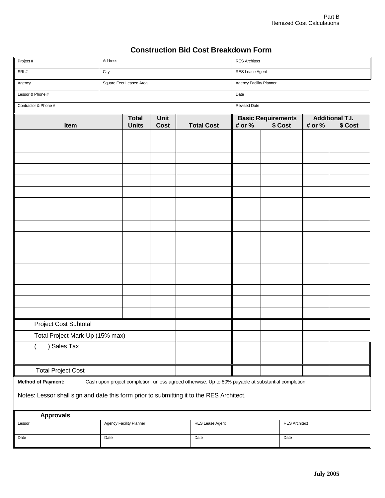# **Construction Bid Cost Breakdown Form**

| Project #                                                                                | Address                                                                                             |                         |             |  |                   | <b>RES Architect</b>      |         |      |        |                        |
|------------------------------------------------------------------------------------------|-----------------------------------------------------------------------------------------------------|-------------------------|-------------|--|-------------------|---------------------------|---------|------|--------|------------------------|
| SRL#                                                                                     | City                                                                                                |                         |             |  |                   | RES Lease Agent           |         |      |        |                        |
| Agency                                                                                   |                                                                                                     | Square Feet Leased Area |             |  |                   | Agency Facility Planner   |         |      |        |                        |
| Lessor & Phone #                                                                         | Date                                                                                                |                         |             |  |                   |                           |         |      |        |                        |
| Contractor & Phone #                                                                     |                                                                                                     |                         |             |  |                   | <b>Revised Date</b>       |         |      |        |                        |
|                                                                                          |                                                                                                     | <b>Total</b>            | Unit        |  |                   | <b>Basic Requirements</b> |         |      |        | <b>Additional T.I.</b> |
| Item                                                                                     |                                                                                                     | <b>Units</b>            | <b>Cost</b> |  | <b>Total Cost</b> | # or %                    | \$ Cost |      | # or % | \$ Cost                |
|                                                                                          |                                                                                                     |                         |             |  |                   |                           |         |      |        |                        |
|                                                                                          |                                                                                                     |                         |             |  |                   |                           |         |      |        |                        |
|                                                                                          |                                                                                                     |                         |             |  |                   |                           |         |      |        |                        |
|                                                                                          |                                                                                                     |                         |             |  |                   |                           |         |      |        |                        |
|                                                                                          |                                                                                                     |                         |             |  |                   |                           |         |      |        |                        |
|                                                                                          |                                                                                                     |                         |             |  |                   |                           |         |      |        |                        |
|                                                                                          |                                                                                                     |                         |             |  |                   |                           |         |      |        |                        |
|                                                                                          |                                                                                                     |                         |             |  |                   |                           |         |      |        |                        |
|                                                                                          |                                                                                                     |                         |             |  |                   |                           |         |      |        |                        |
|                                                                                          |                                                                                                     |                         |             |  |                   |                           |         |      |        |                        |
|                                                                                          |                                                                                                     |                         |             |  |                   |                           |         |      |        |                        |
|                                                                                          |                                                                                                     |                         |             |  |                   |                           |         |      |        |                        |
|                                                                                          |                                                                                                     |                         |             |  |                   |                           |         |      |        |                        |
|                                                                                          |                                                                                                     |                         |             |  |                   |                           |         |      |        |                        |
|                                                                                          |                                                                                                     |                         |             |  |                   |                           |         |      |        |                        |
|                                                                                          |                                                                                                     |                         |             |  |                   |                           |         |      |        |                        |
| Project Cost Subtotal                                                                    |                                                                                                     |                         |             |  |                   |                           |         |      |        |                        |
|                                                                                          | Total Project Mark-Up (15% max)                                                                     |                         |             |  |                   |                           |         |      |        |                        |
| Sales Tax                                                                                |                                                                                                     |                         |             |  |                   |                           |         |      |        |                        |
|                                                                                          |                                                                                                     |                         |             |  |                   |                           |         |      |        |                        |
| <b>Total Project Cost</b>                                                                |                                                                                                     |                         |             |  |                   |                           |         |      |        |                        |
| <b>Method of Payment:</b>                                                                | Cash upon project completion, unless agreed otherwise. Up to 80% payable at substantial completion. |                         |             |  |                   |                           |         |      |        |                        |
|                                                                                          |                                                                                                     |                         |             |  |                   |                           |         |      |        |                        |
| Notes: Lessor shall sign and date this form prior to submitting it to the RES Architect. |                                                                                                     |                         |             |  |                   |                           |         |      |        |                        |
| <b>Approvals</b>                                                                         |                                                                                                     |                         |             |  |                   |                           |         |      |        |                        |
| Lessor                                                                                   |                                                                                                     | Agency Facility Planner |             |  | RES Lease Agent   | <b>RES Architect</b>      |         |      |        |                        |
| Date                                                                                     | Date                                                                                                |                         |             |  | Date              |                           |         | Date |        |                        |
|                                                                                          |                                                                                                     |                         |             |  |                   |                           |         |      |        |                        |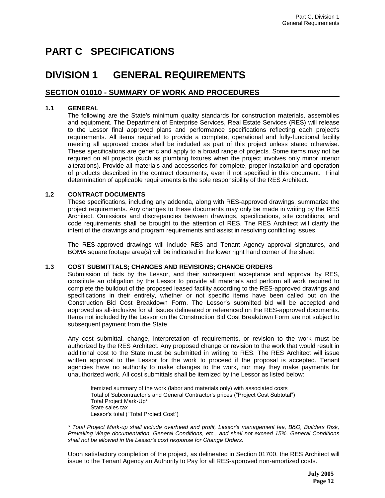# **PART C SPECIFICATIONS**

# **DIVISION 1 GENERAL REQUIREMENTS**

# **SECTION 01010 - SUMMARY OF WORK AND PROCEDURES**

## **1.1 GENERAL**

The following are the State's minimum quality standards for construction materials, assemblies and equipment. The Department of Enterprise Services, Real Estate Services (RES) will release to the Lessor final approved plans and performance specifications reflecting each project's requirements. All items required to provide a complete, operational and fully-functional facility meeting all approved codes shall be included as part of this project unless stated otherwise. These specifications are generic and apply to a broad range of projects. Some items may not be required on all projects (such as plumbing fixtures when the project involves only minor interior alterations). Provide all materials and accessories for complete, proper installation and operation of products described in the contract documents, even if not specified in this document. Final determination of applicable requirements is the sole responsibility of the RES Architect.

## **1.2 CONTRACT DOCUMENTS**

These specifications, including any addenda, along with RES-approved drawings, summarize the project requirements. Any changes to these documents may only be made in writing by the RES Architect. Omissions and discrepancies between drawings, specifications, site conditions, and code requirements shall be brought to the attention of RES. The RES Architect will clarify the intent of the drawings and program requirements and assist in resolving conflicting issues.

The RES-approved drawings will include RES and Tenant Agency approval signatures, and BOMA square footage area(s) will be indicated in the lower right hand corner of the sheet.

## **1.3 COST SUBMITTALS; CHANGES AND REVISIONS; CHANGE ORDERS**

Submission of bids by the Lessor, and their subsequent acceptance and approval by RES, constitute an obligation by the Lessor to provide all materials and perform all work required to complete the buildout of the proposed leased facility according to the RES-approved drawings and specifications in their entirety, whether or not specific items have been called out on the Construction Bid Cost Breakdown Form. The Lessor's submitted bid will be accepted and approved as all-inclusive for all issues delineated or referenced on the RES-approved documents. Items not included by the Lessor on the Construction Bid Cost Breakdown Form are not subject to subsequent payment from the State.

Any cost submittal, change, interpretation of requirements, or revision to the work must be authorized by the RES Architect. Any proposed change or revision to the work that would result in additional cost to the State must be submitted in writing to RES. The RES Architect will issue written approval to the Lessor for the work to proceed if the proposal is accepted. Tenant agencies have no authority to make changes to the work, nor may they make payments for unauthorized work. All cost submittals shall be itemized by the Lessor as listed below:

Itemized summary of the work (labor and materials only) with associated costs Total of Subcontractor's and General Contractor's prices ("Project Cost Subtotal") Total Project Mark-Up\* State sales tax Lessor's total ("Total Project Cost")

*\* Total Project Mark-up shall include overhead and profit, Lessor's management fee, B&O, Builders Risk, Prevailing Wage documentation, General Conditions, etc., and shall not exceed 15%. General Conditions shall not be allowed in the Lessor's cost response for Change Orders.*

Upon satisfactory completion of the project, as delineated in Section 01700, the RES Architect will issue to the Tenant Agency an Authority to Pay for all RES-approved non-amortized costs.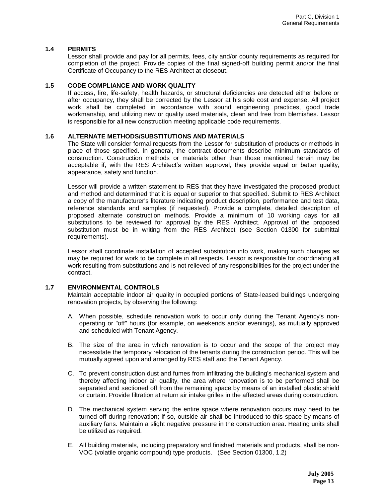#### **1.4 PERMITS**

Lessor shall provide and pay for all permits, fees, city and/or county requirements as required for completion of the project. Provide copies of the final signed-off building permit and/or the final Certificate of Occupancy to the RES Architect at closeout.

#### **1.5 CODE COMPLIANCE AND WORK QUALITY**

If access, fire, life-safety, health hazards, or structural deficiencies are detected either before or after occupancy, they shall be corrected by the Lessor at his sole cost and expense. All project work shall be completed in accordance with sound engineering practices, good trade workmanship, and utilizing new or quality used materials, clean and free from blemishes. Lessor is responsible for all new construction meeting applicable code requirements.

#### **1.6 ALTERNATE METHODS/SUBSTITUTIONS AND MATERIALS**

The State will consider formal requests from the Lessor for substitution of products or methods in place of those specified. In general, the contract documents describe minimum standards of construction. Construction methods or materials other than those mentioned herein may be acceptable if, with the RES Architect's written approval, they provide equal or better quality, appearance, safety and function.

Lessor will provide a written statement to RES that they have investigated the proposed product and method and determined that it is equal or superior to that specified. Submit to RES Architect a copy of the manufacturer's literature indicating product description, performance and test data, reference standards and samples (if requested). Provide a complete, detailed description of proposed alternate construction methods. Provide a minimum of 10 working days for all substitutions to be reviewed for approval by the RES Architect. Approval of the proposed substitution must be in writing from the RES Architect (see Section 01300 for submittal requirements).

Lessor shall coordinate installation of accepted substitution into work, making such changes as may be required for work to be complete in all respects. Lessor is responsible for coordinating all work resulting from substitutions and is not relieved of any responsibilities for the project under the contract.

#### **1.7 ENVIRONMENTAL CONTROLS**

Maintain acceptable indoor air quality in occupied portions of State-leased buildings undergoing renovation projects, by observing the following:

- A. When possible, schedule renovation work to occur only during the Tenant Agency's nonoperating or "off" hours (for example, on weekends and/or evenings), as mutually approved and scheduled with Tenant Agency.
- B. The size of the area in which renovation is to occur and the scope of the project may necessitate the temporary relocation of the tenants during the construction period. This will be mutually agreed upon and arranged by RES staff and the Tenant Agency.
- C. To prevent construction dust and fumes from infiltrating the building's mechanical system and thereby affecting indoor air quality, the area where renovation is to be performed shall be separated and sectioned off from the remaining space by means of an installed plastic shield or curtain. Provide filtration at return air intake grilles in the affected areas during construction.
- D. The mechanical system serving the entire space where renovation occurs may need to be turned off during renovation; if so, outside air shall be introduced to this space by means of auxiliary fans. Maintain a slight negative pressure in the construction area. Heating units shall be utilized as required.
- E. All building materials, including preparatory and finished materials and products, shall be non-VOC (volatile organic compound) type products. (See Section 01300, 1.2)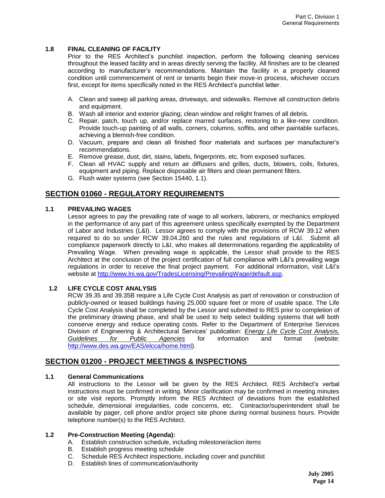### **1.8 FINAL CLEANING OF FACILITY**

Prior to the RES Architect's punchlist inspection, perform the following cleaning services throughout the leased facility and in areas directly serving the facility. All finishes are to be cleaned according to manufacturer's recommendations. Maintain the facility in a properly cleaned condition until commencement of rent or tenants begin their move-in process, whichever occurs first, except for items specifically noted in the RES Architect's punchlist letter.

- A. Clean and sweep all parking areas, driveways, and sidewalks. Remove all construction debris and equipment.
- B. Wash all interior and exterior glazing; clean window and relight frames of all debris.
- C. Repair, patch, touch up, and/or replace marred surfaces, restoring to a like-new condition. Provide touch-up painting of all walls, corners, columns, soffits, and other paintable surfaces, achieving a blemish-free condition.
- D. Vacuum, prepare and clean all finished floor materials and surfaces per manufacturer's recommendations.
- E. Remove grease, dust, dirt, stains, labels, fingerprints, etc. from exposed surfaces.
- F. Clean all HVAC supply and return air diffusers and grilles, ducts, blowers, coils, fixtures, equipment and piping. Replace disposable air filters and clean permanent filters.
- G. Flush water systems (see Section 15440, 1.1).

# **SECTION 01060 - REGULATORY REQUIREMENTS**

## **1.1 PREVAILING WAGES**

Lessor agrees to pay the prevailing rate of wage to all workers, laborers, or mechanics employed in the performance of any part of this agreement unless specifically exempted by the Department of Labor and Industries (L&I). Lessor agrees to comply with the provisions of RCW 39.12 when required to do so under RCW 39.04.260 and the rules and regulations of L&I. Submit all compliance paperwork directly to L&I, who makes all determinations regarding the applicability of Prevailing Wage. When prevailing wage is applicable, the Lessor shall provide to the RES Architect at the conclusion of the project certification of full compliance with L&I's prevailing wage regulations in order to receive the final project payment. For additional information, visit L&I's website at [http://www.lni.wa.gov/TradesLicensing/PrevailingWage/default.asp.](http://www.lni.wa.gov/TradesLicensing/PrevailingWage/default.asp)

## **1.2 LIFE CYCLE COST ANALYSIS**

RCW 39.35 and 39.35B require a Life Cycle Cost Analysis as part of renovation or construction of publicly-owned or leased buildings having 25,000 square feet or more of usable space. The Life Cycle Cost Analysis shall be completed by the Lessor and submitted to RES prior to completion of the preliminary drawing phase, and shall be used to help select building systems that will both conserve energy and reduce operating costs. Refer to the Department of Enterprise Services Division of Engineering & Architectural Services' publication: *Energy Life Cycle Cost Analysis, Guidelines for Public Agencies* for information and format (website: [http://www.des.wa.gov/EAS/elcca/home.html\)](http://www.ga.wa.gov/EAS/elcca/home.html).

# **SECTION 01200 - PROJECT MEETINGS & INSPECTIONS**

#### **1.1 General Communications**

All instructions to the Lessor will be given by the RES Architect. RES Architect's verbal instructions must be confirmed in writing. Minor clarification may be confirmed in meeting minutes or site visit reports. Promptly inform the RES Architect of deviations from the established schedule, dimensional irregularities, code concerns, etc. Contractor/superintendent shall be available by pager, cell phone and/or project site phone during normal business hours. Provide telephone number(s) to the RES Architect.

#### **1.2 Pre-Construction Meeting (Agenda):**

- A. Establish construction schedule, including milestone/action items
- B. Establish progress meeting schedule
- C. Schedule RES Architect inspections, including cover and punchlist
- D. Establish lines of communication/authority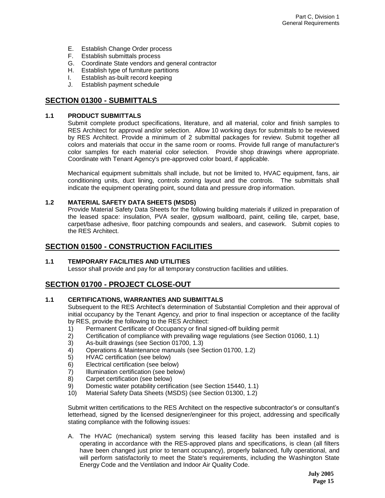- E. Establish Change Order process
- F. Establish submittals process
- G. Coordinate State vendors and general contractor
- H. Establish type of furniture partitions
- I. Establish as-built record keeping
- J. Establish payment schedule

# **SECTION 01300 - SUBMITTALS**

## **1.1 PRODUCT SUBMITTALS**

Submit complete product specifications, literature, and all material, color and finish samples to RES Architect for approval and/or selection. Allow 10 working days for submittals to be reviewed by RES Architect. Provide a minimum of 2 submittal packages for review. Submit together all colors and materials that occur in the same room or rooms. Provide full range of manufacturer's color samples for each material color selection. Provide shop drawings where appropriate. Coordinate with Tenant Agency's pre-approved color board, if applicable.

Mechanical equipment submittals shall include, but not be limited to, HVAC equipment, fans, air conditioning units, duct lining, controls zoning layout and the controls. The submittals shall indicate the equipment operating point, sound data and pressure drop information.

## **1.2 MATERIAL SAFETY DATA SHEETS (MSDS)**

Provide Material Safety Data Sheets for the following building materials if utilized in preparation of the leased space: insulation, PVA sealer, gypsum wallboard, paint, ceiling tile, carpet, base, carpet/base adhesive, floor patching compounds and sealers, and casework. Submit copies to the RES Architect.

# **SECTION 01500 - CONSTRUCTION FACILITIES**

## **1.1 TEMPORARY FACILITIES AND UTILITIES**

Lessor shall provide and pay for all temporary construction facilities and utilities.

# **SECTION 01700 - PROJECT CLOSE-OUT**

## **1.1 CERTIFICATIONS, WARRANTIES AND SUBMITTALS**

Subsequent to the RES Architect's determination of Substantial Completion and their approval of initial occupancy by the Tenant Agency, and prior to final inspection or acceptance of the facility by RES, provide the following to the RES Architect:

- 1) Permanent Certificate of Occupancy or final signed-off building permit
- 2) Certification of compliance with prevailing wage regulations (see Section 01060, 1.1)
- 3) As-built drawings (see Section 01700, 1.3)
- 4) Operations & Maintenance manuals (see Section 01700, 1.2)
- 5) HVAC certification (see below)
- 6) Electrical certification (see below)
- 7) Illumination certification (see below)
- 8) Carpet certification (see below)
- 9) Domestic water potability certification (see Section 15440, 1.1)
- 10) Material Safety Data Sheets (MSDS) (see Section 01300, 1.2)

Submit written certifications to the RES Architect on the respective subcontractor's or consultant's letterhead, signed by the licensed designer/engineer for this project, addressing and specifically stating compliance with the following issues:

A. The HVAC (mechanical) system serving this leased facility has been installed and is operating in accordance with the RES-approved plans and specifications, is clean (all filters have been changed just prior to tenant occupancy), properly balanced, fully operational, and will perform satisfactorily to meet the State's requirements, including the Washington State Energy Code and the Ventilation and Indoor Air Quality Code.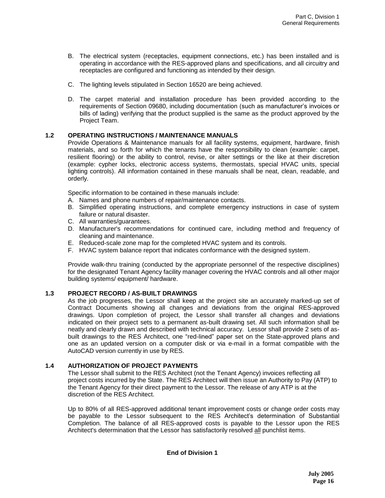- B. The electrical system (receptacles, equipment connections, etc.) has been installed and is operating in accordance with the RES-approved plans and specifications, and all circuitry and receptacles are configured and functioning as intended by their design.
- C. The lighting levels stipulated in Section 16520 are being achieved.
- D. The carpet material and installation procedure has been provided according to the requirements of Section 09680, including documentation (such as manufacturer's invoices or bills of lading) verifying that the product supplied is the same as the product approved by the Project Team.

## **1.2 OPERATING INSTRUCTIONS / MAINTENANCE MANUALS**

Provide Operations & Maintenance manuals for all facility systems, equipment, hardware, finish materials, and so forth for which the tenants have the responsibility to clean (example: carpet, resilient flooring) or the ability to control, revise, or alter settings or the like at their discretion (example: cypher locks, electronic access systems, thermostats, special HVAC units, special lighting controls). All information contained in these manuals shall be neat, clean, readable, and orderly.

Specific information to be contained in these manuals include:

- A. Names and phone numbers of repair/maintenance contacts.
- B. Simplified operating instructions, and complete emergency instructions in case of system failure or natural disaster.
- C. All warranties/guarantees.
- D. Manufacturer's recommendations for continued care, including method and frequency of cleaning and maintenance.
- E. Reduced-scale zone map for the completed HVAC system and its controls.
- F. HVAC system balance report that indicates conformance with the designed system.

Provide walk-thru training (conducted by the appropriate personnel of the respective disciplines) for the designated Tenant Agency facility manager covering the HVAC controls and all other major building systems/ equipment/ hardware.

#### **1.3 PROJECT RECORD / AS-BUILT DRAWINGS**

As the job progresses, the Lessor shall keep at the project site an accurately marked-up set of Contract Documents showing all changes and deviations from the original RES-approved drawings. Upon completion of project, the Lessor shall transfer all changes and deviations indicated on their project sets to a permanent as-built drawing set. All such information shall be neatly and clearly drawn and described with technical accuracy. Lessor shall provide 2 sets of asbuilt drawings to the RES Architect, one "red-lined" paper set on the State-approved plans and one as an updated version on a computer disk or via e-mail in a format compatible with the AutoCAD version currently in use by RES.

#### **1.4 AUTHORIZATION OF PROJECT PAYMENTS**

The Lessor shall submit to the RES Architect (not the Tenant Agency) invoices reflecting all project costs incurred by the State. The RES Architect will then issue an Authority to Pay (ATP) to the Tenant Agency for their direct payment to the Lessor. The release of any ATP is at the discretion of the RES Architect.

Up to 80% of all RES-approved additional tenant improvement costs or change order costs may be payable to the Lessor subsequent to the RES Architect's determination of Substantial Completion. The balance of all RES-approved costs is payable to the Lessor upon the RES Architect's determination that the Lessor has satisfactorily resolved all punchlist items.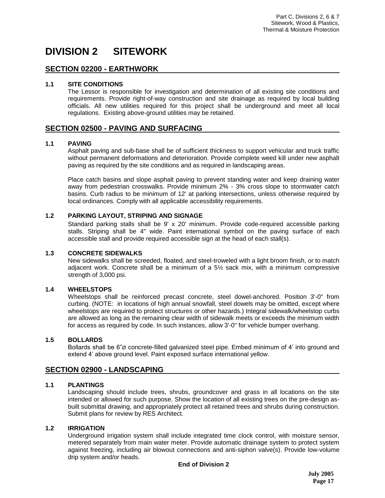# **DIVISION 2 SITEWORK**

# **SECTION 02200 - EARTHWORK**

## **1.1 SITE CONDITIONS**

The Lessor is responsible for investigation and determination of all existing site conditions and requirements. Provide right-of-way construction and site drainage as required by local building officials. All new utilities required for this project shall be underground and meet all local regulations. Existing above-ground utilities may be retained.

# **SECTION 02500 - PAVING AND SURFACING**

## **1.1 PAVING**

Asphalt paving and sub-base shall be of sufficient thickness to support vehicular and truck traffic without permanent deformations and deterioration. Provide complete weed kill under new asphalt paving as required by the site conditions and as required in landscaping areas.

Place catch basins and slope asphalt paving to prevent standing water and keep draining water away from pedestrian crosswalks. Provide minimum 2% - 3% cross slope to stormwater catch basins. Curb radius to be minimum of 12' at parking intersections, unless otherwise required by local ordinances. Comply with all applicable accessibility requirements.

## **1.2 PARKING LAYOUT, STRIPING AND SIGNAGE**

Standard parking stalls shall be 9' x 20' minimum. Provide code-required accessible parking stalls. Striping shall be 4" wide. Paint international symbol on the paving surface of each accessible stall and provide required accessible sign at the head of each stall(s).

#### **1.3 CONCRETE SIDEWALKS**

New sidewalks shall be screeded, floated, and steel-troweled with a light broom finish, or to match adjacent work. Concrete shall be a minimum of a 5½ sack mix, with a minimum compressive strength of 3,000 psi.

## **1.4 WHEELSTOPS**

Wheelstops shall be reinforced precast concrete, steel dowel-anchored. Position 3'-0" from curbing. (NOTE: in locations of high annual snowfall, steel dowels may be omitted, except where wheelstops are required to protect structures or other hazards.) Integral sidewalk/wheelstop curbs are allowed as long as the remaining clear width of sidewalk meets or exceeds the minimum width for access as required by code. In such instances, allow 3'-0" for vehicle bumper overhang.

#### **1.5 BOLLARDS**

Bollards shall be 6"Ø concrete-filled galvanized steel pipe. Embed minimum of 4' into ground and extend 4' above ground level. Paint exposed surface international yellow.

# **SECTION 02900 - LANDSCAPING**

## **1.1 PLANTINGS**

Landscaping should include trees, shrubs, groundcover and grass in all locations on the site intended or allowed for such purpose. Show the location of all existing trees on the pre-design asbuilt submittal drawing, and appropriately protect all retained trees and shrubs during construction. Submit plans for review by RES Architect.

#### **1.2 IRRIGATION**

Underground irrigation system shall include integrated time clock control, with moisture sensor, metered separately from main water meter. Provide automatic drainage system to protect system against freezing, including air blowout connections and anti-siphon valve(s). Provide low-volume drip system and/or heads.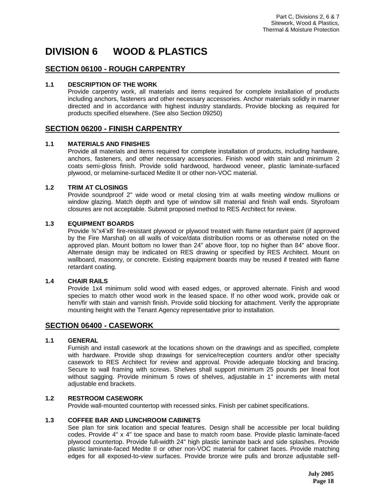# **DIVISION 6 WOOD & PLASTICS**

# **SECTION 06100 - ROUGH CARPENTRY**

## **1.1 DESCRIPTION OF THE WORK**

Provide carpentry work, all materials and items required for complete installation of products including anchors, fasteners and other necessary accessories. Anchor materials solidly in manner directed and in accordance with highest industry standards. Provide blocking as required for products specified elsewhere. (See also Section 09250)

# **SECTION 06200 - FINISH CARPENTRY**

## **1.1 MATERIALS AND FINISHES**

Provide all materials and items required for complete installation of products, including hardware, anchors, fasteners, and other necessary accessories. Finish wood with stain and minimum 2 coats semi-gloss finish. Provide solid hardwood, hardwood veneer, plastic laminate-surfaced plywood, or melamine-surfaced Medite II or other non-VOC material.

## **1.2 TRIM AT CLOSINGS**

Provide soundproof 2" wide wood or metal closing trim at walls meeting window mullions or window glazing. Match depth and type of window sill material and finish wall ends. Styrofoam closures are not acceptable. Submit proposed method to RES Architect for review.

## **1.3 EQUIPMENT BOARDS**

Provide ¾"x4'x8' fire-resistant plywood or plywood treated with flame retardant paint (if approved by the Fire Marshal) on all walls of voice/data distribution rooms or as otherwise noted on the approved plan. Mount bottom no lower than 24" above floor, top no higher than 84" above floor. Alternate design may be indicated on RES drawing or specified by RES Architect. Mount on wallboard, masonry, or concrete. Existing equipment boards may be reused if treated with flame retardant coating.

#### **1.4 CHAIR RAILS**

Provide 1x4 minimum solid wood with eased edges, or approved alternate. Finish and wood species to match other wood work in the leased space. If no other wood work, provide oak or hem/fir with stain and varnish finish. Provide solid blocking for attachment. Verify the appropriate mounting height with the Tenant Agency representative prior to installation.

## **SECTION 06400 - CASEWORK**

## **1.1 GENERAL**

Furnish and install casework at the locations shown on the drawings and as specified, complete with hardware. Provide shop drawings for service/reception counters and/or other specialty casework to RES Architect for review and approval. Provide adequate blocking and bracing. Secure to wall framing with screws. Shelves shall support minimum 25 pounds per lineal foot without sagging. Provide minimum 5 rows of shelves, adjustable in 1" increments with metal adjustable end brackets.

#### **1.2 RESTROOM CASEWORK**

Provide wall-mounted countertop with recessed sinks. Finish per cabinet specifications.

#### **1.3 COFFEE BAR AND LUNCHROOM CABINETS**

See plan for sink location and special features. Design shall be accessible per local building codes. Provide 4" x 4" toe space and base to match room base. Provide plastic laminate-faced plywood countertop. Provide full-width 24" high plastic laminate back and side splashes. Provide plastic laminate-faced Medite II or other non-VOC material for cabinet faces. Provide matching edges for all exposed-to-view surfaces. Provide bronze wire pulls and bronze adjustable self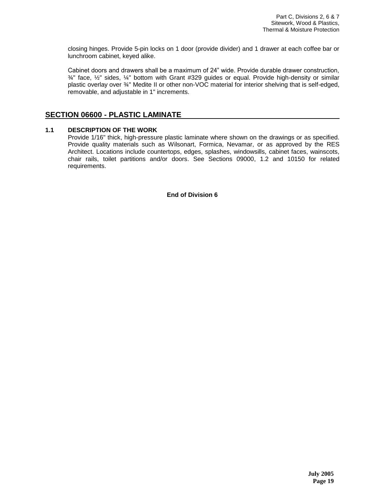closing hinges. Provide 5-pin locks on 1 door (provide divider) and 1 drawer at each coffee bar or lunchroom cabinet, keyed alike.

Cabinet doors and drawers shall be a maximum of 24" wide. Provide durable drawer construction,  $\frac{3}{4}$ " face,  $\frac{1}{2}$ " sides,  $\frac{1}{4}$ " bottom with Grant #329 guides or equal. Provide high-density or similar plastic overlay over ¾" Medite II or other non-VOC material for interior shelving that is self-edged, removable, and adjustable in 1" increments.

# **SECTION 06600 - PLASTIC LAMINATE**

## **1.1 DESCRIPTION OF THE WORK**

Provide 1/16" thick, high-pressure plastic laminate where shown on the drawings or as specified. Provide quality materials such as Wilsonart, Formica, Nevamar, or as approved by the RES Architect. Locations include countertops, edges, splashes, windowsills*,* cabinet faces, wainscots, chair rails, toilet partitions and/or doors. See Sections 09000, 1.2 and 10150 for related requirements.

**End of Division 6**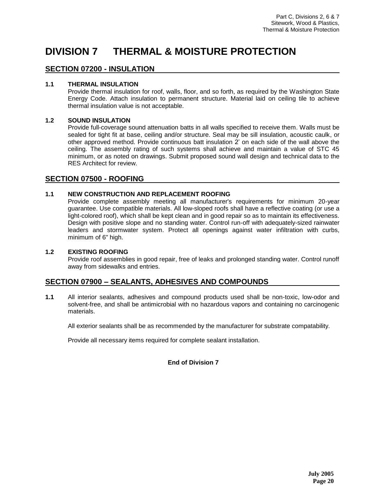# **DIVISION 7 THERMAL & MOISTURE PROTECTION**

# **SECTION 07200 - INSULATION**

## **1.1 THERMAL INSULATION**

Provide thermal insulation for roof, walls, floor, and so forth, as required by the Washington State Energy Code. Attach insulation to permanent structure. Material laid on ceiling tile to achieve thermal insulation value is not acceptable.

## **1.2 SOUND INSULATION**

Provide full-coverage sound attenuation batts in all walls specified to receive them. Walls must be sealed for tight fit at base, ceiling and/or structure. Seal may be sill insulation, acoustic caulk, or other approved method. Provide continuous batt insulation 2' on each side of the wall above the ceiling. The assembly rating of such systems shall achieve and maintain a value of STC 45 minimum, or as noted on drawings. Submit proposed sound wall design and technical data to the RES Architect for review.

## **SECTION 07500 - ROOFING**

## **1.1 NEW CONSTRUCTION AND REPLACEMENT ROOFING**

Provide complete assembly meeting all manufacturer's requirements for minimum 20-year guarantee. Use compatible materials. All low-sloped roofs shall have a reflective coating (or use a light-colored roof), which shall be kept clean and in good repair so as to maintain its effectiveness. Design with positive slope and no standing water. Control run-off with adequately-sized rainwater leaders and stormwater system. Protect all openings against water infiltration with curbs, minimum of 6" high.

### **1.2 EXISTING ROOFING**

Provide roof assemblies in good repair, free of leaks and prolonged standing water. Control runoff away from sidewalks and entries.

# **SECTION 07900 – SEALANTS, ADHESIVES AND COMPOUNDS**

**1.1** All interior sealants, adhesives and compound products used shall be non-toxic, low-odor and solvent-free, and shall be antimicrobial with no hazardous vapors and containing no carcinogenic materials.

All exterior sealants shall be as recommended by the manufacturer for substrate compatability.

Provide all necessary items required for complete sealant installation.

## **End of Division 7**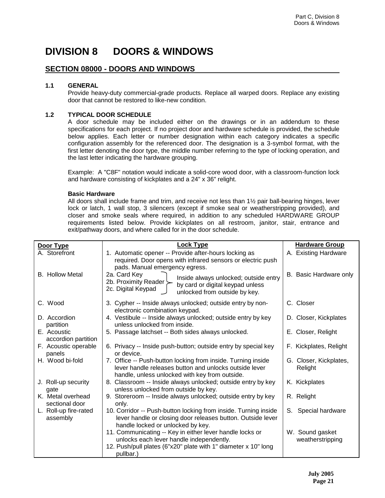# **DIVISION 8 DOORS & WINDOWS**

# **SECTION 08000 - DOORS AND WINDOWS**

## **1.1 GENERAL**

Provide heavy-duty commercial-grade products. Replace all warped doors. Replace any existing door that cannot be restored to like-new condition.

## **1.2 TYPICAL DOOR SCHEDULE**

A door schedule may be included either on the drawings or in an addendum to these specifications for each project. If no project door and hardware schedule is provided, the schedule below applies. Each letter or number designation within each category indicates a specific configuration assembly for the referenced door. The designation is a 3-symbol format, with the first letter denoting the door type, the middle number referring to the type of locking operation, and the last letter indicating the hardware grouping.

Example: A "C8F" notation would indicate a solid-core wood door, with a classroom-function lock and hardware consisting of kickplates and a 24" x 36" relight.

#### **Basic Hardware**

All doors shall include frame and trim, and receive not less than 1½ pair ball-bearing hinges, lever lock or latch, 1 wall stop, 3 silencers (except if smoke seal or weatherstripping provided), and closer and smoke seals where required, in addition to any scheduled HARDWARE GROUP requirements listed below. Provide kickplates on all restroom, janitor, stair, entrance and exit/pathway doors, and where called for in the door schedule.

| Door Type                           | Lock Type                                                                                                                                                                           | <b>Hardware Group</b>               |
|-------------------------------------|-------------------------------------------------------------------------------------------------------------------------------------------------------------------------------------|-------------------------------------|
| A. Storefront                       | 1. Automatic opener -- Provide after-hours locking as<br>required. Door opens with infrared sensors or electric push<br>pads. Manual emergency egress.                              | A. Existing Hardware                |
| <b>B.</b> Hollow Metal              | 2a. Card Key<br>Inside always unlocked; outside entry<br>2b. Proximity Reader<br>by card or digital keypad unless<br>2c. Digital Keypad<br>unlocked from outside by key.            | B. Basic Hardware only              |
| C. Wood                             | 3. Cypher -- Inside always unlocked; outside entry by non-<br>electronic combination keypad.                                                                                        | C. Closer                           |
| D. Accordion<br>partition           | 4. Vestibule -- Inside always unlocked; outside entry by key<br>unless unlocked from inside.                                                                                        | D. Closer, Kickplates               |
| E. Acoustic<br>accordion partition  | 5. Passage latchset -- Both sides always unlocked.                                                                                                                                  | E. Closer, Relight                  |
| F. Acoustic operable<br>panels      | 6. Privacy -- Inside push-button; outside entry by special key<br>or device.                                                                                                        | F. Kickplates, Relight              |
| H. Wood bi-fold                     | 7. Office -- Push-button locking from inside. Turning inside<br>lever handle releases button and unlocks outside lever<br>handle, unless unlocked with key from outside.            | G. Closer, Kickplates,<br>Relight   |
| J. Roll-up security<br>qate         | 8. Classroom -- Inside always unlocked; outside entry by key<br>unless unlocked from outside by key.                                                                                | K. Kickplates                       |
| K. Metal overhead<br>sectional door | 9. Storeroom -- Inside always unlocked; outside entry by key<br>only.                                                                                                               | R. Relight                          |
| L. Roll-up fire-rated<br>assembly   | 10. Corridor -- Push-button locking from inside. Turning inside<br>lever handle or closing door releases button. Outside lever<br>handle locked or unlocked by key.                 | Special hardware<br>S.              |
|                                     | 11. Communicating -- Key in either lever handle locks or<br>unlocks each lever handle independently.<br>12. Push/pull plates (6"x20" plate with 1" diameter x 10" long<br>pullbar.) | W. Sound gasket<br>weatherstripping |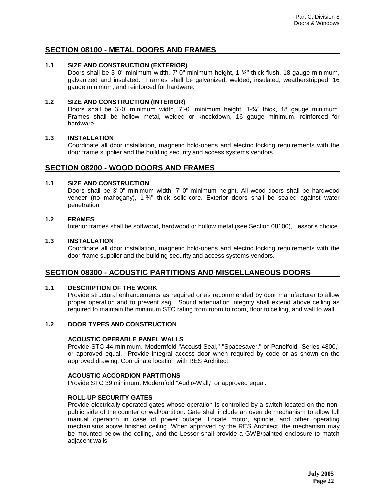# **SECTION 08100 - METAL DOORS AND FRAMES**

### **1.1 SIZE AND CONSTRUCTION (EXTERIOR)**

Doors shall be 3'-0" minimum width, 7'-0" minimum height, 1-¾" thick flush, 18 gauge minimum, galvanized and insulated. Frames shall be galvanized, welded, insulated, weatherstripped, 16 gauge minimum, and reinforced for hardware.

#### **1.2 SIZE AND CONSTRUCTION (INTERIOR)**

Doors shall be 3'-0' minimum width, 7'-0" minimum height, 1-¾" thick, 18 gauge minimum. Frames shall be hollow metal, welded or knockdown, 16 gauge minimum, reinforced for hardware.

### **1.3 INSTALLATION**

Coordinate all door installation, magnetic hold-opens and electric locking requirements with the door frame supplier and the building security and access systems vendors.

## **SECTION 08200 - WOOD DOORS AND FRAMES**

## **1.1 SIZE AND CONSTRUCTION**

Doors shall be 3'-0" minimum width, 7'-0" minimum height. All wood doors shall be hardwood veneer (no mahogany), 1-¾" thick solid-core. Exterior doors shall be sealed against water penetration.

#### **1.2 FRAMES**

Interior frames shall be softwood, hardwood or hollow metal (see Section 08100), Lessor's choice.

#### **1.3 INSTALLATION**

Coordinate all door installation, magnetic hold-opens and electric locking requirements with the door frame supplier and the building security and access systems vendors.

# **SECTION 08300 - ACOUSTIC PARTITIONS AND MISCELLANEOUS DOORS**

### **1.1 DESCRIPTION OF THE WORK**

Provide structural enhancements as required or as recommended by door manufacturer to allow proper operation and to prevent sag. Sound attenuation integrity shall extend above ceiling as required to maintain the minimum STC rating from room to room, floor to ceiling, and wall to wall.

#### **1.2 DOOR TYPES AND CONSTRUCTION**

#### **ACOUSTIC OPERABLE PANEL WALLS**

Provide STC 44 minimum. Modernfold "Acousti-Seal," "Spacesaver," or Panelfold "Series 4800," or approved equal. Provide integral access door when required by code or as shown on the approved drawing. Coordinate location with RES Architect.

#### **ACOUSTIC ACCORDION PARTITIONS**

Provide STC 39 minimum. Modernfold "Audio-Wall," or approved equal.

#### **ROLL-UP SECURITY GATES**

Provide electrically-operated gates whose operation is controlled by a switch located on the nonpublic side of the counter or wall/partition. Gate shall include an override mechanism to allow full manual operation in case of power outage. Locate motor, spindle, and other operating mechanisms above finished ceiling. When approved by the RES Architect, the mechanism may be mounted below the ceiling, and the Lessor shall provide a GWB/painted enclosure to match adjacent walls.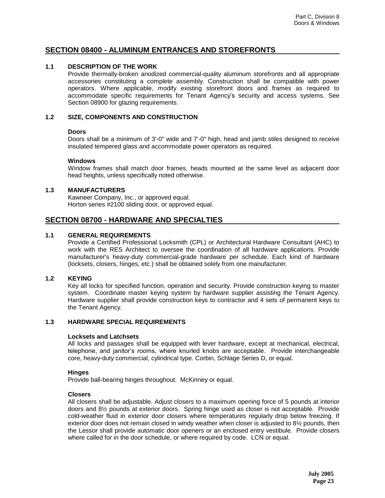# **SECTION 08400 - ALUMINUM ENTRANCES AND STOREFRONTS**

## **1.1 DESCRIPTION OF THE WORK**

Provide thermally-broken anodized commercial-quality aluminum storefronts and all appropriate accessories constituting a complete assembly. Construction shall be compatible with power operators. Where applicable, modify existing storefront doors and frames as required to accommodate specific requirements for Tenant Agency's security and access systems. See Section 08900 for glazing requirements.

### **1.2 SIZE, COMPONENTS AND CONSTRUCTION**

#### **Doors**

Doors shall be a minimum of 3'-0" wide and 7'-0" high, head and jamb stiles designed to receive insulated tempered glass and accommodate power operators as required.

#### **Windows**

Window frames shall match door frames, heads mounted at the same level as adjacent door head heights, unless specifically noted otherwise.

### **1.3 MANUFACTURERS**

Kawneer Company, Inc., or approved equal. Horton series #2100 sliding door, or approved equal.

# **SECTION 08700 - HARDWARE AND SPECIALTIES**

## **1.1 GENERAL REQUIREMENTS**

Provide a Certified Professional Locksmith (CPL) or Architectural Hardware Consultant (AHC) to work with the RES Architect to oversee the coordination of all hardware applications. Provide manufacturer's heavy-duty commercial-grade hardware per schedule. Each kind of hardware (locksets, closers, hinges, etc.) shall be obtained solely from one manufacturer.

### **1.2 KEYING**

Key all locks for specified function, operation and security. Provide construction keying to master system. Coordinate master keying system by hardware supplier assisting the Tenant Agency. Hardware supplier shall provide construction keys to contractor and 4 sets of permanent keys to the Tenant Agency.

## **1.3 HARDWARE SPECIAL REQUIREMENTS**

#### **Locksets and Latchsets**

All locks and passages shall be equipped with lever hardware, except at mechanical, electrical, telephone, and janitor's rooms, where knurled knobs are acceptable. Provide interchangeable core, heavy-duty commercial, cylindrical type. Corbin, Schlage Series D, or equal.

#### **Hinges**

Provide ball-bearing hinges throughout. McKinney or equal.

#### **Closers**

All closers shall be adjustable*.* Adjust closers to a maximum opening force of 5 pounds at interior doors and 8½ pounds at exterior doors. Spring hinge used as closer is not acceptable. Provide cold-weather fluid in exterior door closers where temperatures regularly drop below freezing. If exterior door does not remain closed in windy weather when closer is adjusted to 8½ pounds, then the Lessor shall provide automatic door openers or an enclosed entry vestibule. Provide closers where called for in the door schedule, or where required by code. LCN or equal.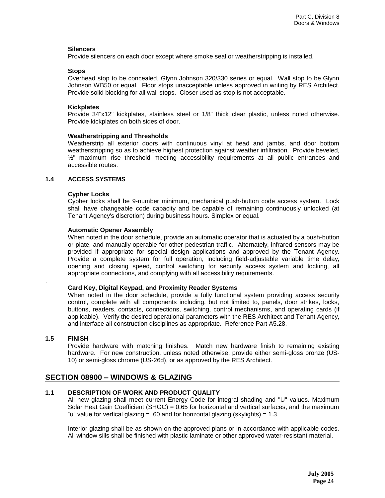#### **Silencers**

Provide silencers on each door except where smoke seal or weatherstripping is installed.

#### **Stops**

Overhead stop to be concealed, Glynn Johnson 320/330 series or equal. Wall stop to be Glynn Johnson WB50 or equal. Floor stops unacceptable unless approved in writing by RES Architect. Provide solid blocking for all wall stops. Closer used as stop is not acceptable.

#### **Kickplates**

Provide 34"x12" kickplates, stainless steel or 1/8" thick clear plastic, unless noted otherwise. Provide kickplates on both sides of door.

#### **Weatherstripping and Thresholds**

Weatherstrip all exterior doors with continuous vinyl at head and jambs, and door bottom weatherstripping so as to achieve highest protection against weather infiltration. Provide beveled,  $1/2$ " maximum rise threshold meeting accessibility requirements at all public entrances and accessible routes.

#### **1.4 ACCESS SYSTEMS**

#### **Cypher Locks**

Cypher locks shall be 9-number minimum, mechanical push-button code access system. Lock shall have changeable code capacity and be capable of remaining continuously unlocked (at Tenant Agency's discretion) during business hours. Simplex or equal.

#### **Automatic Opener Assembly**

When noted in the door schedule, provide an automatic operator that is actuated by a push-button or plate, and manually operable for other pedestrian traffic. Alternately, infrared sensors may be provided if appropriate for special design applications and approved by the Tenant Agency. Provide a complete system for full operation, including field-adjustable variable time delay, opening and closing speed, control switching for security access system and locking, all appropriate connections, and complying with all accessibility requirements.

#### **Card Key, Digital Keypad, and Proximity Reader Systems**

When noted in the door schedule, provide a fully functional system providing access security control, complete with all components including, but not limited to, panels, door strikes, locks, buttons, readers, contacts, connections, switching, control mechanisms, and operating cards (if applicable). Verify the desired operational parameters with the RES Architect and Tenant Agency, and interface all construction disciplines as appropriate. Reference Part A5.28.

#### **1.5 FINISH**

.

Provide hardware with matching finishes. Match new hardware finish to remaining existing hardware. For new construction, unless noted otherwise, provide either semi-gloss bronze (US-10) or semi-gloss chrome (US-26d), or as approved by the RES Architect.

## **SECTION 08900 – WINDOWS & GLAZING**

#### **1.1 DESCRIPTION OF WORK AND PRODUCT QUALITY**

All new glazing shall meet current Energy Code for integral shading and "U" values. Maximum Solar Heat Gain Coefficient (SHGC) =  $0.65$  for horizontal and vertical surfaces, and the maximum "u" value for vertical glazing = .60 and for horizontal glazing (skylights) =  $1.3$ .

Interior glazing shall be as shown on the approved plans or in accordance with applicable codes. All window sills shall be finished with plastic laminate or other approved water-resistant material.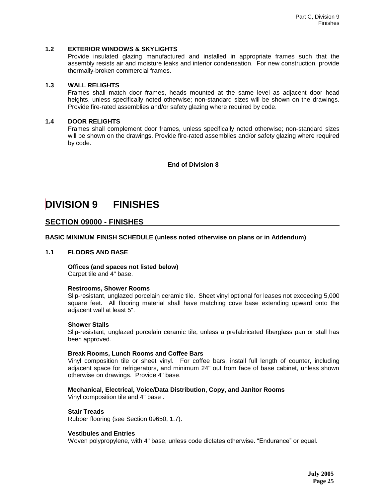### **1.2 EXTERIOR WINDOWS & SKYLIGHTS**

Provide insulated glazing manufactured and installed in appropriate frames such that the assembly resists air and moisture leaks and interior condensation. For new construction, provide thermally-broken commercial frames.

#### **1.3 WALL RELIGHTS**

Frames shall match door frames, heads mounted at the same level as adjacent door head heights, unless specifically noted otherwise; non-standard sizes will be shown on the drawings. Provide fire-rated assemblies and/or safety glazing where required by code.

#### **1.4 DOOR RELIGHTS**

Frames shall complement door frames, unless specifically noted otherwise; non-standard sizes will be shown on the drawings. Provide fire-rated assemblies and/or safety glazing where required by code.

#### **End of Division 8**

# **DIVISION 9 FINISHES**

# **SECTION 09000 - FINISHES**

**BASIC MINIMUM FINISH SCHEDULE (unless noted otherwise on plans or in Addendum)**

#### **1.1 FLOORS AND BASE**

**Offices (and spaces not listed below)** Carpet tile and 4" base.

#### **Restrooms, Shower Rooms**

Slip-resistant, unglazed porcelain ceramic tile. Sheet vinyl optional for leases not exceeding 5,000 square feet. All flooring material shall have matching cove base extending upward onto the adjacent wall at least 5".

#### **Shower Stalls**

Slip-resistant, unglazed porcelain ceramic tile, unless a prefabricated fiberglass pan or stall has been approved.

#### **Break Rooms, Lunch Rooms and Coffee Bars**

Vinyl composition tile or sheet vinyl. For coffee bars, install full length of counter, including adjacent space for refrigerators, and minimum 24" out from face of base cabinet, unless shown otherwise on drawings. Provide 4" base.

#### **Mechanical, Electrical, Voice/Data Distribution, Copy, and Janitor Rooms**

Vinyl composition tile and 4" base .

#### **Stair Treads**

Rubber flooring (see Section 09650, 1.7).

#### **Vestibules and Entries**

Woven polypropylene, with 4" base, unless code dictates otherwise. "Endurance" or equal.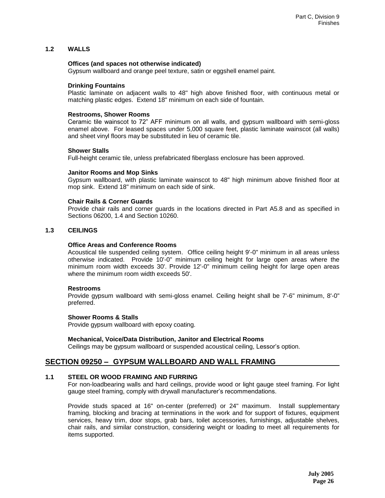## **1.2 WALLS**

#### **Offices (and spaces not otherwise indicated)**

Gypsum wallboard and orange peel texture, satin or eggshell enamel paint.

#### **Drinking Fountains**

Plastic laminate on adjacent walls to 48" high above finished floor, with continuous metal or matching plastic edges. Extend 18" minimum on each side of fountain.

#### **Restrooms, Shower Rooms**

Ceramic tile wainscot to 72" AFF minimum on all walls, and gypsum wallboard with semi-gloss enamel above. For leased spaces under 5,000 square feet, plastic laminate wainscot (all walls) and sheet vinyl floors may be substituted in lieu of ceramic tile.

#### **Shower Stalls**

Full-height ceramic tile, unless prefabricated fiberglass enclosure has been approved.

#### **Janitor Rooms and Mop Sinks**

Gypsum wallboard, with plastic laminate wainscot to 48" high minimum above finished floor at mop sink. Extend 18" minimum on each side of sink.

#### **Chair Rails & Corner Guards**

Provide chair rails and corner guards in the locations directed in Part A5.8 and as specified in Sections 06200, 1.4 and Section 10260.

#### **1.3 CEILINGS**

#### **Office Areas and Conference Rooms**

Acoustical tile suspended ceiling system. Office ceiling height 9'-0" minimum in all areas unless otherwise indicated. Provide 10'-0" minimum ceiling height for large open areas where the minimum room width exceeds 30'. Provide 12'-0" minimum ceiling height for large open areas where the minimum room width exceeds 50'.

#### **Restrooms**

Provide gypsum wallboard with semi-gloss enamel. Ceiling height shall be 7'-6" minimum, 8'-0" preferred.

#### **Shower Rooms & Stalls**

Provide gypsum wallboard with epoxy coating.

#### **Mechanical, Voice/Data Distribution, Janitor and Electrical Rooms**

Ceilings may be gypsum wallboard or suspended acoustical ceiling, Lessor's option.

## **SECTION 09250 – GYPSUM WALLBOARD AND WALL FRAMING**

#### **1.1 STEEL OR WOOD FRAMING AND FURRING**

For non-loadbearing walls and hard ceilings, provide wood or light gauge steel framing. For light gauge steel framing, comply with drywall manufacturer's recommendations.

Provide studs spaced at 16" on-center (preferred) or 24" maximum. Install supplementary framing, blocking and bracing at terminations in the work and for support of fixtures, equipment services, heavy trim, door stops, grab bars, toilet accessories, furnishings, adjustable shelves, chair rails, and similar construction, considering weight or loading to meet all requirements for items supported.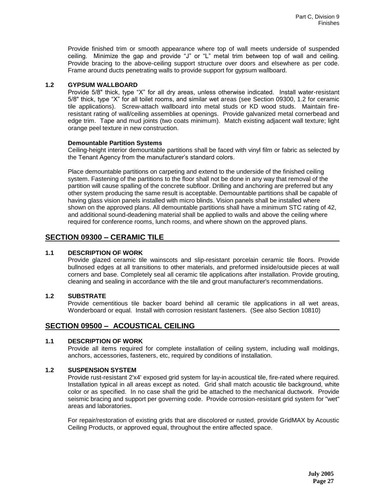Provide finished trim or smooth appearance where top of wall meets underside of suspended ceiling. Minimize the gap and provide "J" or "L" metal trim between top of wall and ceiling. Provide bracing to the above-ceiling support structure over doors and elsewhere as per code. Frame around ducts penetrating walls to provide support for gypsum wallboard.

## **1.2 GYPSUM WALLBOARD**

Provide 5/8" thick, type "X" for all dry areas, unless otherwise indicated. Install water-resistant 5/8" thick, type "X" for all toilet rooms, and similar wet areas (see Section 09300, 1.2 for ceramic tile applications). Screw-attach wallboard into metal studs or KD wood studs. Maintain fireresistant rating of wall/ceiling assemblies at openings. Provide galvanized metal cornerbead and edge trim. Tape and mud joints (two coats minimum). Match existing adjacent wall texture; light orange peel texture in new construction.

#### **Demountable Partition Systems**

Ceiling-height interior demountable partitions shall be faced with vinyl film or fabric as selected by the Tenant Agency from the manufacturer's standard colors.

Place demountable partitions on carpeting and extend to the underside of the finished ceiling system. Fastening of the partitions to the floor shall not be done in any way that removal of the partition will cause spalling of the concrete subfloor. Drilling and anchoring are preferred but any other system producing the same result is acceptable. Demountable partitions shall be capable of having glass vision panels installed with micro blinds. Vision panels shall be installed where shown on the approved plans. All demountable partitions shall have a minimum STC rating of 42, and additional sound-deadening material shall be applied to walls and above the ceiling where required for conference rooms, lunch rooms, and where shown on the approved plans.

# **SECTION 09300 – CERAMIC TILE**

## **1.1 DESCRIPTION OF WORK**

Provide glazed ceramic tile wainscots and slip-resistant porcelain ceramic tile floors. Provide bullnosed edges at all transitions to other materials, and preformed inside/outside pieces at wall corners and base. Completely seal all ceramic tile applications after installation. Provide grouting, cleaning and sealing in accordance with the tile and grout manufacturer's recommendations.

## **1.2 SUBSTRATE**

Provide cementitious tile backer board behind all ceramic tile applications in all wet areas, Wonderboard or equal. Install with corrosion resistant fasteners. (See also Section 10810)

# **SECTION 09500 – ACOUSTICAL CEILING**

## **1.1 DESCRIPTION OF WORK**

Provide all items required for complete installation of ceiling system, including wall moldings, anchors, accessories, fasteners, etc, required by conditions of installation.

## **1.2 SUSPENSION SYSTEM**

Provide rust-resistant 2'x4' exposed grid system for lay-in acoustical tile, fire-rated where required. Installation typical in all areas except as noted. Grid shall match acoustic tile background, white color or as specified. In no case shall the grid be attached to the mechanical ductwork. Provide seismic bracing and support per governing code. Provide corrosion-resistant grid system for "wet" areas and laboratories.

For repair/restoration of existing grids that are discolored or rusted, provide GridMAX by Acoustic Ceiling Products, or approved equal, throughout the entire affected space.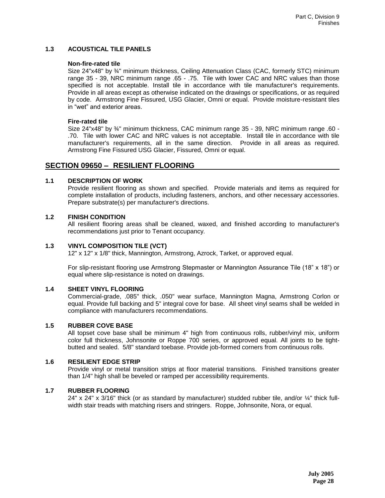### **1.3 ACOUSTICAL TILE PANELS**

#### **Non-fire-rated tile**

Size 24"x48" by ¾" minimum thickness, Ceiling Attenuation Class (CAC, formerly STC) minimum range 35 - 39, NRC minimum range .65 - .75. Tile with lower CAC and NRC values than those specified is not acceptable. Install tile in accordance with tile manufacturer's requirements. Provide in all areas except as otherwise indicated on the drawings or specifications, or as required by code. Armstrong Fine Fissured, USG Glacier, Omni or equal. Provide moisture-resistant tiles in "wet" and exterior areas.

### **Fire-rated tile**

Size 24"x48" by ¾" minimum thickness, CAC minimum range 35 - 39, NRC minimum range .60 - .70. Tile with lower CAC and NRC values is not acceptable. Install tile in accordance with tile manufacturer's requirements, all in the same direction. Provide in all areas as required. Armstrong Fine Fissured USG Glacier, Fissured, Omni or equal.

# **SECTION 09650 – RESILIENT FLOORING**

## **1.1 DESCRIPTION OF WORK**

Provide resilient flooring as shown and specified. Provide materials and items as required for complete installation of products, including fasteners, anchors, and other necessary accessories. Prepare substrate(s) per manufacturer's directions.

## **1.2 FINISH CONDITION**

All resilient flooring areas shall be cleaned, waxed, and finished according to manufacturer's recommendations just prior to Tenant occupancy.

## **1.3 VINYL COMPOSITION TILE (VCT)**

12" x 12" x 1/8" thick, Mannington, Armstrong, Azrock, Tarket, or approved equal.

For slip-resistant flooring use Armstrong Stepmaster or Mannington Assurance Tile (18" x 18") or equal where slip-resistance is noted on drawings.

#### **1.4 SHEET VINYL FLOORING**

Commercial-grade, .085" thick, .050" wear surface, Mannington Magna, Armstrong Corlon or equal. Provide full backing and 5" integral cove for base. All sheet vinyl seams shall be welded in compliance with manufacturers recommendations.

## **1.5 RUBBER COVE BASE**

All topset cove base shall be minimum 4" high from continuous rolls, rubber/vinyl mix, uniform color full thickness, Johnsonite or Roppe 700 series, or approved equal. All joints to be tightbutted and sealed. 5/8" standard toebase. Provide job-formed corners from continuous rolls.

#### **1.6 RESILIENT EDGE STRIP**

Provide vinyl or metal transition strips at floor material transitions. Finished transitions greater than 1/4" high shall be beveled or ramped per accessibility requirements.

## **1.7 RUBBER FLOORING**

24" x 24" x 3/16" thick (or as standard by manufacturer) studded rubber tile, and/or  $\frac{1}{4}$ " thick fullwidth stair treads with matching risers and stringers. Roppe, Johnsonite, Nora, or equal.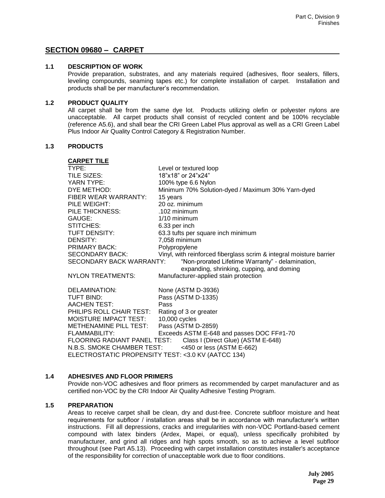# **SECTION 09680 – CARPET**

## **1.1 DESCRIPTION OF WORK**

Provide preparation, substrates, and any materials required (adhesives, floor sealers, fillers, leveling compounds, seaming tapes etc.) for complete installation of carpet. Installation and products shall be per manufacturer's recommendation.

#### **1.2 PRODUCT QUALITY**

All carpet shall be from the same dye lot. Products utilizing olefin or polyester nylons are unacceptable. All carpet products shall consist of recycled content and be 100% recyclable (reference A5.6), and shall bear the CRI Green Label Plus approval as well as a CRI Green Label Plus Indoor Air Quality Control Category & Registration Number.

#### **1.3 PRODUCTS**

| <b>CARPET TILE</b>                                 |                                                                                               |
|----------------------------------------------------|-----------------------------------------------------------------------------------------------|
| TYPE:                                              | Level or textured loop                                                                        |
| TILE SIZES:                                        | 18"x18" or 24"x24"                                                                            |
| YARN TYPE:                                         | 100% type 6.6 Nylon                                                                           |
| DYE METHOD:                                        | Minimum 70% Solution-dyed / Maximum 30% Yarn-dyed                                             |
| FIBER WEAR WARRANTY:                               | 15 years                                                                                      |
| PILE WEIGHT:                                       | 20 oz. minimum                                                                                |
| PILE THICKNESS:                                    | .102 minimum                                                                                  |
| GAUGE:                                             | $1/10$ minimum                                                                                |
| STITCHES:                                          | 6.33 per inch                                                                                 |
| TUFT DENSITY:                                      | 63.3 tufts per square inch minimum                                                            |
| DENSITY:                                           | 7,058 minimum                                                                                 |
| PRIMARY BACK:                                      | Polypropylene                                                                                 |
| <b>SECONDARY BACK:</b>                             | Vinyl, with reinforced fiberglass scrim & integral moisture barrier                           |
| SECONDARY BACK WARRANTY:                           | "Non-prorated Lifetime Warranty" - delamination,<br>expanding, shrinking, cupping, and doming |
| <b>NYLON TREATMENTS:</b>                           | Manufacturer-applied stain protection                                                         |
| DELAMINATION:                                      | None (ASTM D-3936)                                                                            |
| TUFT BIND:                                         | Pass (ASTM D-1335)                                                                            |
| <b>AACHEN TEST:</b>                                | Pass                                                                                          |
| PHILIPS ROLL CHAIR TEST:                           | Rating of 3 or greater                                                                        |
| MOISTURE IMPACT TEST:                              | 10,000 cycles                                                                                 |
| METHENAMINE PILL TEST:                             | Pass (ASTM D-2859)                                                                            |
| FLAMMABILITY:                                      | Exceeds ASTM E-648 and passes DOC FF#1-70                                                     |
|                                                    | FLOORING RADIANT PANEL TEST: Class I (Direct Glue) (ASTM E-648)                               |
|                                                    | N.B.S. SMOKE CHAMBER TEST: <450 or less (ASTM E-662)                                          |
| ELECTROSTATIC PROPENSITY TEST: <3.0 KV (AATCC 134) |                                                                                               |

#### **1.4 ADHESIVES AND FLOOR PRIMERS**

Provide non-VOC adhesives and floor primers as recommended by carpet manufacturer and as certified non-VOC by the CRI Indoor Air Quality Adhesive Testing Program.

#### **1.5 PREPARATION**

Areas to receive carpet shall be clean, dry and dust-free. Concrete subfloor moisture and heat requirements for subfloor / installation areas shall be in accordance with manufacturer's written instructions. Fill all depressions, cracks and irregularities with non-VOC Portland-based cement compound with latex binders (Ardex, Mapei, or equal), unless specifically prohibited by manufacturer, and grind all ridges and high spots smooth, so as to achieve a level subfloor throughout (see Part A5.13). Proceeding with carpet installation constitutes installer's acceptance of the responsibility for correction of unacceptable work due to floor conditions.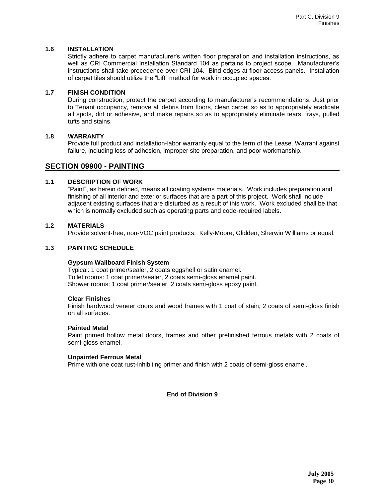## **1.6 INSTALLATION**

Strictly adhere to carpet manufacturer's written floor preparation and installation instructions, as well as CRI Commercial Installation Standard 104 as pertains to project scope. Manufacturer's instructions shall take precedence over CRI 104. Bind edges at floor access panels. Installation of carpet tiles should utilize the "Lift" method for work in occupied spaces.

## **1.7 FINISH CONDITION**

During construction, protect the carpet according to manufacturer's recommendations. Just prior to Tenant occupancy, remove all debris from floors, clean carpet so as to appropriately eradicate all spots, dirt or adhesive, and make repairs so as to appropriately eliminate tears, frays, pulled tufts and stains.

## **1.8 WARRANTY**

Provide full product and installation-labor warranty equal to the term of the Lease. Warrant against failure, including loss of adhesion, improper site preparation, and poor workmanship.

## **SECTION 09900 - PAINTING**

## **1.1 DESCRIPTION OF WORK**

"Paint", as herein defined, means all coating systems materials. Work includes preparation and finishing of all interior and exterior surfaces that are a part of this project. Work shall include adjacent existing surfaces that are disturbed as a result of this work. Work excluded shall be that which is normally excluded such as operating parts and code-required labels**.**

## **1.2 MATERIALS**

Provide solvent-free, non-VOC paint products: Kelly-Moore, Glidden, Sherwin Williams or equal.

## **1.3 PAINTING SCHEDULE**

#### **Gypsum Wallboard Finish System**

Typical: 1 coat primer/sealer, 2 coats eggshell or satin enamel. Toilet rooms: 1 coat primer/sealer, 2 coats semi-gloss enamel paint. Shower rooms: 1 coat primer/sealer, 2 coats semi-gloss epoxy paint.

#### **Clear Finishes**

Finish hardwood veneer doors and wood frames with 1 coat of stain, 2 coats of semi-gloss finish on all surfaces.

#### **Painted Metal**

Paint primed hollow metal doors, frames and other prefinished ferrous metals with 2 coats of semi-gloss enamel.

#### **Unpainted Ferrous Metal**

Prime with one coat rust-inhibiting primer and finish with 2 coats of semi-gloss enamel.

## **End of Division 9**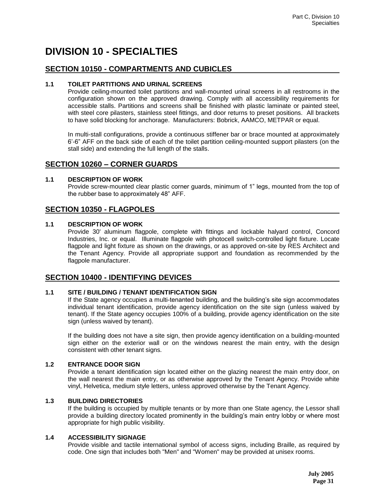# **DIVISION 10 - SPECIALTIES**

## **SECTION 10150 - COMPARTMENTS AND CUBICLES**

## **1.1 TOILET PARTITIONS AND URINAL SCREENS**

Provide ceiling-mounted toilet partitions and wall-mounted urinal screens in all restrooms in the configuration shown on the approved drawing. Comply with all accessibility requirements for accessible stalls. Partitions and screens shall be finished with plastic laminate or painted steel, with steel core pilasters, stainless steel fittings, and door returns to preset positions. All brackets to have solid blocking for anchorage. Manufacturers: Bobrick, AAMCO, METPAR or equal.

In multi-stall configurations, provide a continuous stiffener bar or brace mounted at approximately 6'-6" AFF on the back side of each of the toilet partition ceiling-mounted support pilasters (on the stall side) and extending the full length of the stalls.

## **SECTION 10260 – CORNER GUARDS**

#### **1.1 DESCRIPTION OF WORK**

Provide screw-mounted clear plastic corner guards, minimum of 1" legs, mounted from the top of the rubber base to approximately 48" AFF.

# **SECTION 10350 - FLAGPOLES**

## **1.1 DESCRIPTION OF WORK**

Provide 30' aluminum flagpole, complete with fittings and lockable halyard control, Concord Industries, Inc. or equal. Illuminate flagpole with photocell switch-controlled light fixture. Locate flagpole and light fixture as shown on the drawings, or as approved on-site by RES Architect and the Tenant Agency. Provide all appropriate support and foundation as recommended by the flagpole manufacturer.

# **SECTION 10400 - IDENTIFYING DEVICES**

#### **1.1 SITE / BUILDING / TENANT IDENTIFICATION SIGN**

If the State agency occupies a multi-tenanted building, and the building's site sign accommodates individual tenant identification, provide agency identification on the site sign (unless waived by tenant). If the State agency occupies 100% of a building, provide agency identification on the site sign (unless waived by tenant).

If the building does not have a site sign, then provide agency identification on a building-mounted sign either on the exterior wall or on the windows nearest the main entry, with the design consistent with other tenant signs*.*

## **1.2 ENTRANCE DOOR SIGN**

Provide a tenant identification sign located either on the glazing nearest the main entry door, on the wall nearest the main entry, or as otherwise approved by the Tenant Agency. Provide white vinyl, Helvetica, medium style letters, unless approved otherwise by the Tenant Agency.

## **1.3 BUILDING DIRECTORIES**

If the building is occupied by multiple tenants or by more than one State agency, the Lessor shall provide a building directory located prominently in the building's main entry lobby or where most appropriate for high public visibility.

#### **1.4 ACCESSIBILITY SIGNAGE**

Provide visible and tactile international symbol of access signs, including Braille, as required by code. One sign that includes both "Men" and "Women" may be provided at unisex rooms.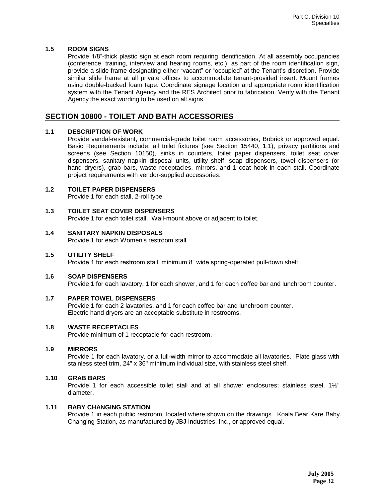## **1.5 ROOM SIGNS**

Provide 1/8"-thick plastic sign at each room requiring identification. At all assembly occupancies (conference, training, interview and hearing rooms, etc.), as part of the room identification sign, provide a slide frame designating either "vacant" or "occupied" at the Tenant's discretion. Provide similar slide frame at all private offices to accommodate tenant-provided insert. Mount frames using double-backed foam tape. Coordinate signage location and appropriate room identification system with the Tenant Agency and the RES Architect prior to fabrication. Verify with the Tenant Agency the exact wording to be used on all signs.

# **SECTION 10800 - TOILET AND BATH ACCESSORIES**

## **1.1 DESCRIPTION OF WORK**

Provide vandal-resistant, commercial-grade toilet room accessories, Bobrick or approved equal. Basic Requirements include: all toilet fixtures (see Section 15440, 1.1), privacy partitions and screens (see Section 10150), sinks in counters, toilet paper dispensers, toilet seat cover dispensers, sanitary napkin disposal units, utility shelf, soap dispensers, towel dispensers (or hand dryers), grab bars, waste receptacles, mirrors, and 1 coat hook in each stall. Coordinate project requirements with vendor-supplied accessories.

#### **1.2 TOILET PAPER DISPENSERS**

Provide 1 for each stall, 2-roll type.

## **1.3 TOILET SEAT COVER DISPENSERS**

Provide 1 for each toilet stall. Wall-mount above or adjacent to toilet.

#### **1.4 SANITARY NAPKIN DISPOSALS**

Provide 1 for each Women's restroom stall.

#### **1.5 UTILITY SHELF**

Provide 1 for each restroom stall, minimum 8" wide spring-operated pull-down shelf.

#### **1.6 SOAP DISPENSERS**

Provide 1 for each lavatory, 1 for each shower, and 1 for each coffee bar and lunchroom counter.

#### **1.7 PAPER TOWEL DISPENSERS**

Provide 1 for each 2 lavatories, and 1 for each coffee bar and lunchroom counter. Electric hand dryers are an acceptable substitute in restrooms.

#### **1.8 WASTE RECEPTACLES**

Provide minimum of 1 receptacle for each restroom.

## **1.9 MIRRORS**

Provide 1 for each lavatory, or a full-width mirror to accommodate all lavatories. Plate glass with stainless steel trim, 24" x 36" minimum individual size, with stainless steel shelf.

#### **1.10 GRAB BARS**

Provide 1 for each accessible toilet stall and at all shower enclosures; stainless steel, 1½" diameter.

## **1.11 BABY CHANGING STATION**

Provide 1 in each public restroom*,* located where shown on the drawings. Koala Bear Kare Baby Changing Station, as manufactured by JBJ Industries, Inc., or approved equal.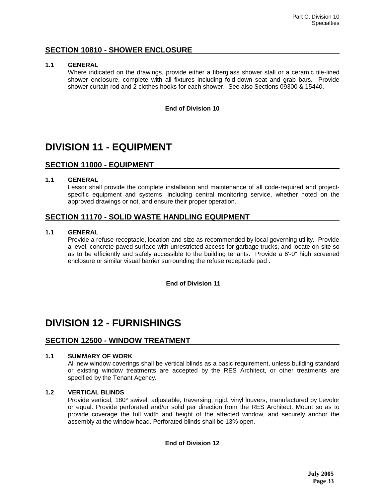# **SECTION 10810 - SHOWER ENCLOSURE**

### **1.1 GENERAL**

Where indicated on the drawings, provide either a fiberglass shower stall or a ceramic tile-lined shower enclosure, complete with all fixtures including fold-down seat and grab bars. Provide shower curtain rod and 2 clothes hooks for each shower. See also Sections 09300 & 15440.

### **End of Division 10**

# **DIVISION 11 - EQUIPMENT**

# **SECTION 11000 - EQUIPMENT**

## **1.1 GENERAL**

Lessor shall provide the complete installation and maintenance of all code-required and projectspecific equipment and systems, including central monitoring service, whether noted on the approved drawings or not, and ensure their proper operation.

# **SECTION 11170 - SOLID WASTE HANDLING EQUIPMENT**

## **1.1 GENERAL**

Provide a refuse receptacle, location and size as recommended by local governing utility. Provide a level, concrete-paved surface with unrestricted access for garbage trucks, and locate on-site so as to be efficiently and safely accessible to the building tenants. Provide a 6'-0" high screened enclosure or similar visual barrier surrounding the refuse receptacle pad .

## **End of Division 11**

# **DIVISION 12 - FURNISHINGS**

# **SECTION 12500 - WINDOW TREATMENT**

## **1.1 SUMMARY OF WORK**

All new window coverings shall be vertical blinds as a basic requirement, unless building standard or existing window treatments are accepted by the RES Architect, or other treatments are specified by the Tenant Agency.

#### **1.2 VERTICAL BLINDS**

Provide vertical, 180° swivel, adjustable, traversing, rigid, vinyl louvers, manufactured by Levolor or equal. Provide perforated and/or solid per direction from the RES Architect. Mount so as to provide coverage the full width and height of the affected window, and securely anchor the assembly at the window head. Perforated blinds shall be 13% open.

## **End of Division 12**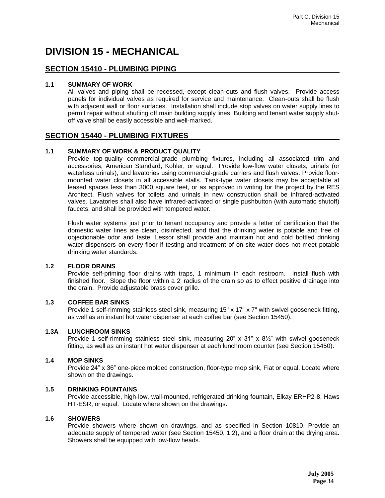# **DIVISION 15 - MECHANICAL**

# **SECTION 15410 - PLUMBING PIPING**

## **1.1 SUMMARY OF WORK**

All valves and piping shall be recessed, except clean-outs and flush valves. Provide access panels for individual valves as required for service and maintenance. Clean-outs shall be flush with adjacent wall or floor surfaces. Installation shall include stop valves on water supply lines to permit repair without shutting off main building supply lines. Building and tenant water supply shutoff valve shall be easily accessible and well-marked.

## **SECTION 15440 - PLUMBING FIXTURES**

## **1.1 SUMMARY OF WORK & PRODUCT QUALITY**

Provide top-quality commercial-grade plumbing fixtures, including all associated trim and accessories, American Standard, Kohler, or equal. Provide low-flow water closets, urinals (or waterless urinals), and lavatories using commercial-grade carriers and flush valves. Provide floormounted water closets in all accessible stalls. Tank-type water closets may be acceptable at leased spaces less than 3000 square feet, or as approved in writing for the project by the RES Architect. Flush valves for toilets and urinals in new construction shall be infrared-activated valves. Lavatories shall also have infrared-activated or single pushbutton (with automatic shutoff) faucets, and shall be provided with tempered water.

Flush water systems just prior to tenant occupancy and provide a letter of certification that the domestic water lines are clean, disinfected, and that the drinking water is potable and free of objectionable odor and taste. Lessor shall provide and maintain hot and cold bottled drinking water dispensers on every floor if testing and treatment of on-site water does not meet potable drinking water standards.

## **1.2 FLOOR DRAINS**

Provide self-priming floor drains with traps, 1 minimum in each restroom. Install flush with finished floor. Slope the floor within a 2' radius of the drain so as to effect positive drainage into the drain. Provide adjustable brass cover grille.

#### **1.3 COFFEE BAR SINKS**

Provide 1 self-rimming stainless steel sink, measuring 15" x 17" x 7" with swivel gooseneck fitting, as well as an instant hot water dispenser at each coffee bar (see Section 15450).

## **1.3A LUNCHROOM SINKS**

Provide 1 self-rimming stainless steel sink, measuring 20" x 31" x 81/2" with swivel gooseneck fitting, as well as an instant hot water dispenser at each lunchroom counter (see Section 15450).

#### **1.4 MOP SINKS**

Provide 24" x 36" one-piece molded construction, floor-type mop sink, Fiat or equal. Locate where shown on the drawings.

#### **1.5 DRINKING FOUNTAINS**

Provide accessible, high-low, wall-mounted, refrigerated drinking fountain, Elkay ERHP2-8, Haws HT-ESR, or equal. Locate where shown on the drawings.

#### **1.6 SHOWERS**

Provide showers where shown on drawings, and as specified in Section 10810. Provide an adequate supply of tempered water (see Section 15450, 1.2), and a floor drain at the drying area. Showers shall be equipped with low-flow heads.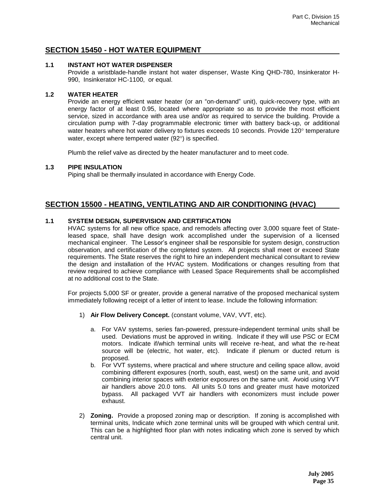# **SECTION 15450 - HOT WATER EQUIPMENT**

### **1.1 INSTANT HOT WATER DISPENSER**

Provide a wristblade-handle instant hot water dispenser, Waste King QHD-780, Insinkerator H-990, Insinkerator HC-1100, or equal.

## **1.2 WATER HEATER**

Provide an energy efficient water heater (or an "on-demand" unit), quick-recovery type, with an energy factor of at least 0.95, located where appropriate so as to provide the most efficient service, sized in accordance with area use and/or as required to service the building. Provide a circulation pump with 7-day programmable electronic timer with battery back-up, or additional water heaters where hot water delivery to fixtures exceeds 10 seconds. Provide 120° temperature water, except where tempered water  $(92^{\circ})$  is specified.

Plumb the relief valve as directed by the heater manufacturer and to meet code.

## **1.3 PIPE INSULATION**

Piping shall be thermally insulated in accordance with Energy Code.

# **SECTION 15500 - HEATING, VENTILATING AND AIR CONDITIONING (HVAC)**

## **1.1 SYSTEM DESIGN, SUPERVISION AND CERTIFICATION**

HVAC systems for all new office space, and remodels affecting over 3,000 square feet of Stateleased space, shall have design work accomplished under the supervision of a licensed mechanical engineer. The Lessor's engineer shall be responsible for system design, construction observation, and certification of the completed system. All projects shall meet or exceed State requirements. The State reserves the right to hire an independent mechanical consultant to review the design and installation of the HVAC system. Modifications or changes resulting from that review required to achieve compliance with Leased Space Requirements shall be accomplished at no additional cost to the State.

For projects 5,000 SF or greater, provide a general narrative of the proposed mechanical system immediately following receipt of a letter of intent to lease. Include the following information:

- 1) **Air Flow Delivery Concept.** (constant volume, VAV, VVT, etc).
	- a. For VAV systems, series fan-powered, pressure-independent terminal units shall be used. Deviations must be approved in writing. Indicate if they will use PSC or ECM motors. Indicate if/which terminal units will receive re-heat, and what the re-heat source will be (electric, hot water, etc). Indicate if plenum or ducted return is proposed.
	- b. For VVT systems, where practical and where structure and ceiling space allow, avoid combining different exposures (north, south, east, west) on the same unit, and avoid combining interior spaces with exterior exposures on the same unit. Avoid using VVT air handlers above 20.0 tons. All units 5.0 tons and greater must have motorized bypass. All packaged VVT air handlers with economizers must include power exhaust.
- 2) **Zoning.** Provide a proposed zoning map or description. If zoning is accomplished with terminal units, Indicate which zone terminal units will be grouped with which central unit. This can be a highlighted floor plan with notes indicating which zone is served by which central unit.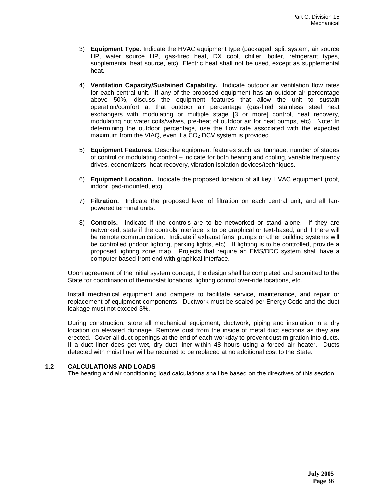- 3) **Equipment Type.** Indicate the HVAC equipment type (packaged, split system, air source HP, water source HP, gas-fired heat, DX cool, chiller, boiler, refrigerant types, supplemental heat source, etc) Electric heat shall not be used, except as supplemental heat.
- 4) **Ventilation Capacity/Sustained Capability.** Indicate outdoor air ventilation flow rates for each central unit. If any of the proposed equipment has an outdoor air percentage above 50%, discuss the equipment features that allow the unit to sustain operation/comfort at that outdoor air percentage (gas-fired stainless steel heat exchangers with modulating or multiple stage [3 or more] control, heat recovery, modulating hot water coils/valves, pre-heat of outdoor air for heat pumps, etc). Note: In determining the outdoor percentage, use the flow rate associated with the expected maximum from the VIAQ, even if a CO<sub>2</sub> DCV system is provided.
- 5) **Equipment Features.** Describe equipment features such as: tonnage, number of stages of control or modulating control – indicate for both heating and cooling, variable frequency drives, economizers, heat recovery, vibration isolation devices/techniques.
- 6) **Equipment Location.** Indicate the proposed location of all key HVAC equipment (roof, indoor, pad-mounted, etc).
- 7) **Filtration.** Indicate the proposed level of filtration on each central unit, and all fanpowered terminal units.
- 8) **Controls.** Indicate if the controls are to be networked or stand alone. If they are networked, state if the controls interface is to be graphical or text-based, and if there will be remote communication. Indicate if exhaust fans, pumps or other building systems will be controlled (indoor lighting, parking lights, etc). If lighting is to be controlled, provide a proposed lighting zone map. Projects that require an EMS/DDC system shall have a computer-based front end with graphical interface.

Upon agreement of the initial system concept, the design shall be completed and submitted to the State for coordination of thermostat locations, lighting control over-ride locations, etc.

Install mechanical equipment and dampers to facilitate service, maintenance, and repair or replacement of equipment components. Ductwork must be sealed per Energy Code and the duct leakage must not exceed 3%.

During construction, store all mechanical equipment, ductwork, piping and insulation in a dry location on elevated dunnage. Remove dust from the inside of metal duct sections as they are erected. Cover all duct openings at the end of each workday to prevent dust migration into ducts. If a duct liner does get wet, dry duct liner within 48 hours using a forced air heater. Ducts detected with moist liner will be required to be replaced at no additional cost to the State.

#### **1.2 CALCULATIONS AND LOADS**

The heating and air conditioning load calculations shall be based on the directives of this section.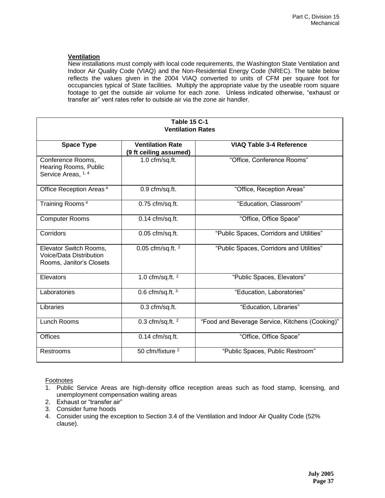## **Ventilation**

New installations must comply with local code requirements, the Washington State Ventilation and Indoor Air Quality Code (VIAQ) and the Non-Residential Energy Code (NREC). The table below reflects the values given in the 2004 VIAQ converted to units of CFM per square foot for occupancies typical of State facilities. Multiply the appropriate value by the useable room square footage to get the outside air volume for each zone.Unless indicated otherwise, "exhaust or transfer air" vent rates refer to outside air via the zone air handler.

| <b>Table 15 C-1</b>                                                           |                                                   |                                                 |  |  |  |
|-------------------------------------------------------------------------------|---------------------------------------------------|-------------------------------------------------|--|--|--|
| <b>Ventilation Rates</b>                                                      |                                                   |                                                 |  |  |  |
| <b>Space Type</b>                                                             | <b>Ventilation Rate</b><br>(9 ft ceiling assumed) | <b>VIAQ Table 3-4 Reference</b>                 |  |  |  |
| Conference Rooms,<br>Hearing Rooms, Public<br>Service Areas, 1, 4             | 1.0 cfm/sq.ft.                                    | "Office, Conference Rooms"                      |  |  |  |
| Office Reception Areas <sup>4</sup>                                           | 0.9 cfm/sq.ft.                                    | "Office, Reception Areas"                       |  |  |  |
| Training Rooms <sup>4</sup>                                                   | 0.75 cfm/sq.ft.                                   | "Education, Classroom"                          |  |  |  |
| <b>Computer Rooms</b>                                                         | $0.14$ cfm/sq.ft.                                 | "Office, Office Space"                          |  |  |  |
| Corridors                                                                     | $0.05$ cfm/sq.ft.                                 | "Public Spaces, Corridors and Utilities"        |  |  |  |
| Elevator Switch Rooms,<br>Voice/Data Distribution<br>Rooms, Janitor's Closets | 0.05 cfm/sq.ft. <sup>2</sup>                      | "Public Spaces, Corridors and Utilities"        |  |  |  |
| Elevators                                                                     | 1.0 cfm/sq.ft. $2$                                | "Public Spaces, Elevators"                      |  |  |  |
| Laboratories                                                                  | $0.6$ cfm/sq.ft. $3$                              | "Education, Laboratories"                       |  |  |  |
| Libraries                                                                     | 0.3 cfm/sq.ft.                                    | "Education, Libraries"                          |  |  |  |
| Lunch Rooms                                                                   | 0.3 cfm/sq.ft. $2$                                | "Food and Beverage Service, Kitchens (Cooking)" |  |  |  |
| <b>Offices</b>                                                                | $0.14$ cfm/sq.ft.                                 | "Office, Office Space"                          |  |  |  |
| Restrooms                                                                     | 50 cfm/fixture <sup>2</sup>                       | "Public Spaces, Public Restroom"                |  |  |  |

Footnotes

1. Public Service Areas are high-density office reception areas such as food stamp, licensing, and unemployment compensation waiting areas

- 2. Exhaust or "transfer air"
- 3. Consider fume hoods
- 4. Consider using the exception to Section 3.4 of the Ventilation and Indoor Air Quality Code (52% clause).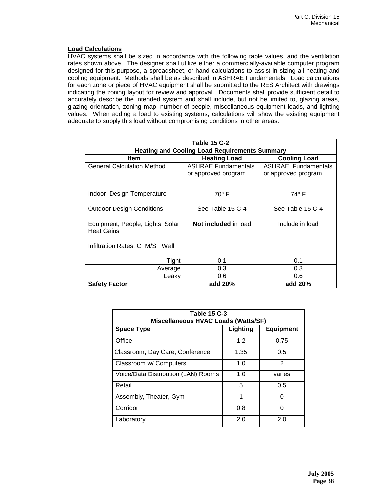#### **Load Calculations**

HVAC systems shall be sized in accordance with the following table values, and the ventilation rates shown above. The designer shall utilize either a commercially-available computer program designed for this purpose, a spreadsheet, or hand calculations to assist in sizing all heating and cooling equipment. Methods shall be as described in ASHRAE Fundamentals. Load calculations for each zone or piece of HVAC equipment shall be submitted to the RES Architect with drawings indicating the zoning layout for review and approval. Documents shall provide sufficient detail to accurately describe the intended system and shall include, but not be limited to, glazing areas, glazing orientation, zoning map, number of people, miscellaneous equipment loads, and lighting values. When adding a load to existing systems, calculations will show the existing equipment adequate to supply this load without compromising conditions in other areas.

| <b>Table 15 C-2</b>                                       |                                                   |                                            |  |  |  |
|-----------------------------------------------------------|---------------------------------------------------|--------------------------------------------|--|--|--|
| <b>Heating and Cooling Load Requirements Summary</b>      |                                                   |                                            |  |  |  |
| <b>Item</b><br><b>Heating Load</b><br><b>Cooling Load</b> |                                                   |                                            |  |  |  |
| <b>General Calculation Method</b>                         | <b>ASHRAE Fundamentals</b><br>or approved program | ASHRAE Fundamentals<br>or approved program |  |  |  |
| Indoor Design Temperature                                 | $70^\circ$ F                                      | 74° F                                      |  |  |  |
| <b>Outdoor Design Conditions</b>                          | See Table 15 C-4                                  | See Table 15 C-4                           |  |  |  |
| Equipment, People, Lights, Solar<br><b>Heat Gains</b>     | Not included in load                              | Include in load                            |  |  |  |
| Infiltration Rates, CFM/SF Wall                           |                                                   |                                            |  |  |  |
| Tight                                                     | 0.1                                               | 0.1                                        |  |  |  |
| Average                                                   | 0.3                                               | 0.3                                        |  |  |  |
| Leaky                                                     | 0.6                                               | 0.6                                        |  |  |  |
| <b>Safety Factor</b>                                      | add 20%                                           | add 20%                                    |  |  |  |

| <b>Table 15 C-3</b><br>Miscellaneous HVAC Loads (Watts/SF) |          |                  |  |  |  |
|------------------------------------------------------------|----------|------------------|--|--|--|
| <b>Space Type</b>                                          | Lighting | <b>Equipment</b> |  |  |  |
| Office                                                     | 1.2      | 0.75             |  |  |  |
| Classroom, Day Care, Conference                            | 1.35     | 0.5              |  |  |  |
| Classroom w/ Computers                                     | 1.0      | $\mathfrak{p}$   |  |  |  |
| Voice/Data Distribution (LAN) Rooms                        | 1.0      | varies           |  |  |  |
| Retail                                                     | 5        | 0.5              |  |  |  |
| Assembly, Theater, Gym                                     | 1        | O                |  |  |  |
| Corridor                                                   | 0.8      | O                |  |  |  |
| Laboratory                                                 | 2 0      | 2 በ              |  |  |  |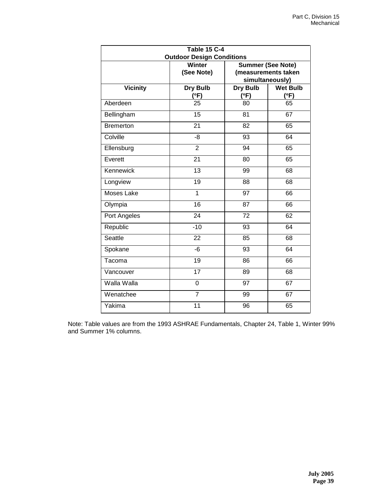| <b>Table 15 C-4</b> |                                  |                          |                 |  |
|---------------------|----------------------------------|--------------------------|-----------------|--|
|                     | <b>Outdoor Design Conditions</b> |                          |                 |  |
|                     | <b>Winter</b>                    | <b>Summer (See Note)</b> |                 |  |
|                     | (See Note)                       | (measurements taken      |                 |  |
|                     |                                  | simultaneously)          |                 |  |
| <b>Vicinity</b>     | Dry Bulb                         | Dry Bulb                 | <b>Wet Bulb</b> |  |
|                     | (°F)                             | (°F)                     | (°F)            |  |
| Aberdeen            | 25                               | 80                       | 65              |  |
| Bellingham          | 15                               | 81                       | 67              |  |
| Bremerton           | $\overline{21}$                  | $\overline{82}$          | 65              |  |
| Colville            | $-8$                             | 93                       | 64              |  |
| Ellensburg          | $\overline{2}$                   | 94                       | 65              |  |
| Everett             | 21                               | 80                       | 65              |  |
| Kennewick           | $\overline{13}$                  | 99                       | 68              |  |
| Longview            | 19                               | 88                       | 68              |  |
| Moses Lake          | 1                                | 97                       | 66              |  |
| Olympia             | $\overline{16}$                  | $\overline{87}$          | 66              |  |
| Port Angeles        | 24                               | 72                       | 62              |  |
| Republic            | $-10$                            | 93                       | 64              |  |
| Seattle             | 22                               | 85                       | 68              |  |
| Spokane             | $-6$                             | 93                       | 64              |  |
| Tacoma              | 19                               | 86                       | 66              |  |
| Vancouver           | $\overline{17}$                  | 89                       | 68              |  |
| Walla Walla         | 0                                | $\overline{97}$          | $\overline{67}$ |  |
| Wenatchee           | $\overline{7}$                   | 99                       | 67              |  |
| Yakima              | 11                               | 96                       | 65              |  |

Note: Table values are from the 1993 ASHRAE Fundamentals, Chapter 24, Table 1, Winter 99% and Summer 1% columns.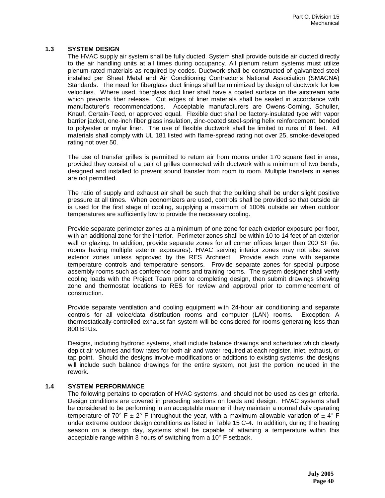#### **1.3 SYSTEM DESIGN**

The HVAC supply air system shall be fully ducted. System shall provide outside air ducted directly to the air handling units at all times during occupancy. All plenum return systems must utilize plenum-rated materials as required by codes. Ductwork shall be constructed of galvanized steel installed per Sheet Metal and Air Conditioning Contractor's National Association (SMACNA) Standards. The need for fiberglass duct linings shall be minimized by design of ductwork for low velocities. Where used, fiberglass duct liner shall have a coated surface on the airstream side which prevents fiber release. Cut edges of liner materials shall be sealed in accordance with manufacturer's recommendations. Acceptable manufacturers are Owens-Corning, Schuller, Knauf, Certain-Teed*,* or approved equal. Flexible duct shall be factory-insulated type with vapor barrier jacket, one*-*inch fiber glass insulation, zinc-coated steel-spring helix reinforcement, bonded to polyester or mylar liner. The use of flexible ductwork shall be limited to runs of 8 feet. All materials shall comply with UL 181 listed with flame-spread rating not over 25, smoke-developed rating not over 50.

The use of transfer grilles is permitted to return air from rooms under 170 square feet in area, provided they consist of a pair of grilles connected with ductwork with a minimum of two bends, designed and installed to prevent sound transfer from room to room. Multiple transfers in series are not permitted.

The ratio of supply and exhaust air shall be such that the building shall be under slight positive pressure at all times. When economizers are used, controls shall be provided so that outside air is used for the first stage of cooling, supplying a maximum of 100% outside air when outdoor temperatures are sufficiently low to provide the necessary cooling.

Provide separate perimeter zones at a minimum of one zone for each exterior exposure per floor, with an additional zone for the interior. Perimeter zones shall be within 10 to 14 feet of an exterior wall or glazing. In addition, provide separate zones for all corner offices larger than 200 SF (ie. rooms having multiple exterior exposures). HVAC serving interior zones may not also serve exterior zones unless approved by the RES Architect. Provide each zone with separate temperature controls and temperature sensors. Provide separate zones for special purpose assembly rooms such as conference rooms and training rooms. The system designer shall verify cooling loads with the Project Team prior to completing design, then submit drawings showing zone and thermostat locations to RES for review and approval prior to commencement of construction.

Provide separate ventilation and cooling equipment with 24-hour air conditioning and separate controls for all voice/data distribution rooms and computer (LAN) rooms. Exception: A thermostatically-controlled exhaust fan system will be considered for rooms generating less than 800 BTUs.

Designs, including hydronic systems, shall include balance drawings and schedules which clearly depict air volumes and flow rates for both air and water required at each register, inlet, exhaust, or tap point. Should the designs involve modifications or additions to existing systems, the designs will include such balance drawings for the entire system, not just the portion included in the rework.

#### **1.4 SYSTEM PERFORMANCE**

The following pertains to operation of HVAC systems, and should not be used as design criteria. Design conditions are covered in preceding sections on loads and design. HVAC systems shall be considered to be performing in an acceptable manner if they maintain a normal daily operating temperature of 70° F  $\pm$  2° F throughout the year, with a maximum allowable variation of  $\pm$  4° F under extreme outdoor design conditions as listed in Table 15 C-4. In addition, during the heating season on a design day, systems shall be capable of attaining a temperature within this acceptable range within 3 hours of switching from a  $10^{\circ}$  F setback.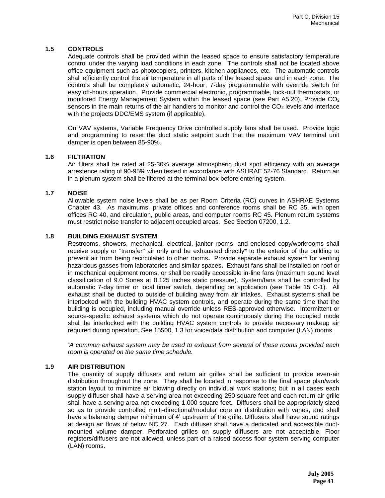## **1.5 CONTROLS**

Adequate controls shall be provided within the leased space to ensure satisfactory temperature control under the varying load conditions in each zone. The controls shall not be located above office equipment such as photocopiers, printers, kitchen appliances, etc. The automatic controls shall efficiently control the air temperature in all parts of the leased space and in each zone. The controls shall be completely automatic, 24-hour, 7-day programmable with override switch for easy off-hours operation. Provide commercial electronic, programmable, lock-out thermostats, or monitored Energy Management System within the leased space (see Part  $A5.20$ ). Provide  $CO<sub>2</sub>$ sensors in the main returns of the air handlers to monitor and control the  $CO<sub>2</sub>$  levels and interface with the projects DDC/EMS system (if applicable).

On VAV systems, Variable Frequency Drive controlled supply fans shall be used. Provide logic and programming to reset the duct static setpoint such that the maximum VAV terminal unit damper is open between 85-90%.

#### **1.6 FILTRATION**

Air filters shall be rated at 25-30% average atmospheric dust spot efficiency with an average arrestence rating of 90-95% when tested in accordance with ASHRAE 52-76 Standard. Return air in a plenum system shall be filtered at the terminal box before entering system.

#### **1.7 NOISE**

Allowable system noise levels shall be as per Room Criteria (RC) curves in ASHRAE Systems Chapter 43. As maximums, private offices and conference rooms shall be RC 35, with open offices RC 40, and circulation, public areas, and computer rooms RC 45. Plenum return systems must restrict noise transfer to adjacent occupied areas. See Section 07200, 1.2.

#### **1.8 BUILDING EXHAUST SYSTEM**

Restrooms, showers, mechanical, electrical, janitor rooms, and enclosed copy/workrooms shall receive supply or "transfer" air only and be exhausted directly\* to the exterior of the building to prevent air from being recirculated to other rooms**.** Provide separate exhaust system for venting hazardous gasses from laboratories and similar spaces**.** Exhaust fans shall be installed on roof or in mechanical equipment rooms, or shall be readily accessible in-line fans (maximum sound level classification of 9.0 Sones at 0.125 inches static pressure). System/fans shall be controlled by automatic 7-day timer or local timer switch, depending on application (see Table 15 C-1). All exhaust shall be ducted to outside of building away from air intakes. Exhaust systems shall be interlocked with the building HVAC system controls, and operate during the same time that the building is occupied, including manual override unless RES-approved otherwise. Intermittent or source-specific exhaust systems which do not operate continuously during the occupied mode shall be interlocked with the building HVAC system controls to provide necessary makeup air required during operation. See 15500, 1.3 for voice/data distribution and computer (LAN) rooms.

*\*A common exhaust system may be used to exhaust from several of these rooms provided each room is operated on the same time schedule.*

#### **1.9 AIR DISTRIBUTION**

The quantity of supply diffusers and return air grilles shall be sufficient to provide even-air distribution throughout the zone. They shall be located in response to the final space plan/work station layout to minimize air blowing directly on individual work stations; but in all cases each supply diffuser shall have a serving area not exceeding 250 square feet and each return air grille shall have a serving area not exceeding 1,000 square feet. Diffusers shall be appropriately sized so as to provide controlled multi-directional/modular core air distribution with vanes, and shall have a balancing damper minimum of 4' upstream of the grille. Diffusers shall have sound ratings at design air flows of below NC 27. Each diffuser shall have a dedicated and accessible ductmounted volume damper. Perforated grilles on supply diffusers are not acceptable. Floor registers/diffusers are not allowed, unless part of a raised access floor system serving computer (LAN) rooms.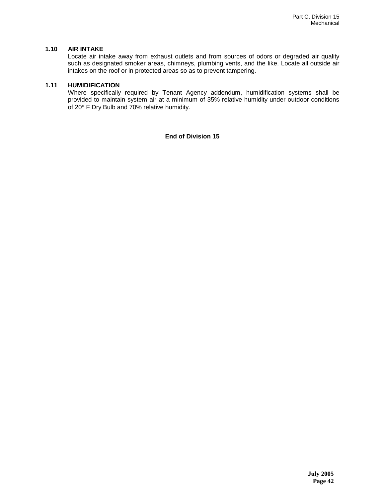## **1.10 AIR INTAKE**

Locate air intake away from exhaust outlets and from sources of odors or degraded air quality such as designated smoker areas, chimneys, plumbing vents, and the like. Locate all outside air intakes on the roof or in protected areas so as to prevent tampering.

## **1.11 HUMIDIFICATION**

Where specifically required by Tenant Agency addendum, humidification systems shall be provided to maintain system air at a minimum of 35% relative humidity under outdoor conditions of 20° F Dry Bulb and 70% relative humidity.

**End of Division 15**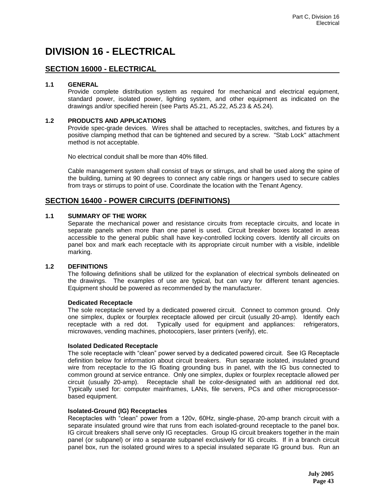# **DIVISION 16 - ELECTRICAL**

# **SECTION 16000 - ELECTRICAL**

#### **1.1 GENERAL**

Provide complete distribution system as required for mechanical and electrical equipment, standard power, isolated power, lighting system, and other equipment as indicated on the drawings and/or specified herein (see Parts A5.21, A5.22, A5.23 & A5.24).

### **1.2 PRODUCTS AND APPLICATIONS**

Provide spec-grade devices. Wires shall be attached to receptacles, switches, and fixtures by a positive clamping method that can be tightened and secured by a screw. "Stab Lock" attachment method is not acceptable.

No electrical conduit shall be more than 40% filled.

Cable management system shall consist of trays or stirrups, and shall be used along the spine of the building, turning at 90 degrees to connect any cable rings or hangers used to secure cables from trays or stirrups to point of use. Coordinate the location with the Tenant Agency.

# **SECTION 16400 - POWER CIRCUITS (DEFINITIONS)**

#### **1.1 SUMMARY OF THE WORK**

Separate the mechanical power and resistance circuits from receptacle circuits, and locate in separate panels when more than one panel is used. Circuit breaker boxes located in areas accessible to the general public shall have key-controlled locking covers. Identify all circuits on panel box and mark each receptacle with its appropriate circuit number with a visible, indelible marking.

#### **1.2 DEFINITIONS**

The following definitions shall be utilized for the explanation of electrical symbols delineated on the drawings. The examples of use are typical, but can vary for different tenant agencies. Equipment should be powered as recommended by the manufacturer.

#### **Dedicated Receptacle**

The sole receptacle served by a dedicated powered circuit. Connect to common ground. Only one simplex, duplex or fourplex receptacle allowed per circuit (usually 20-amp). Identify each receptacle with a red dot. Typically used for equipment and appliances: refrigerators, microwaves, vending machines, photocopiers, laser printers (verify), etc.

#### **Isolated Dedicated Receptacle**

The sole receptacle with "clean" power served by a dedicated powered circuit. See IG Receptacle definition below for information about circuit breakers. Run separate isolated, insulated ground wire from receptacle to the IG floating grounding bus in panel, with the IG bus connected to common ground at service entrance. Only one simplex, duplex or fourplex receptacle allowed per circuit (usually 20-amp). Receptacle shall be color-designated with an additional red dot. Typically used for: computer mainframes, LANs, file servers, PCs and other microprocessorbased equipment.

### **Isolated-Ground (IG) Receptacles**

Receptacles with "clean" power from a 120v, 60Hz, single-phase, 20-amp branch circuit with a separate insulated ground wire that runs from each isolated-ground receptacle to the panel box. IG circuit breakers shall serve only IG receptacles. Group IG circuit breakers together in the main panel (or subpanel) or into a separate subpanel exclusively for IG circuits. If in a branch circuit panel box, run the isolated ground wires to a special insulated separate IG ground bus. Run an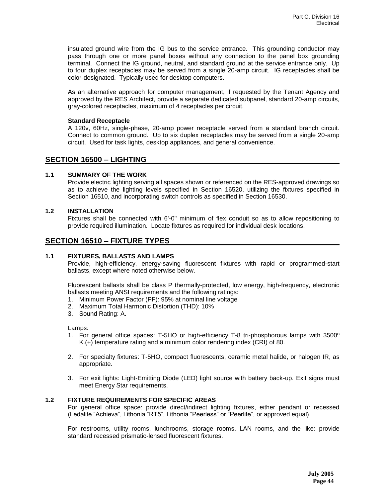insulated ground wire from the IG bus to the service entrance. This grounding conductor may pass through one or more panel boxes without any connection to the panel box grounding terminal. Connect the IG ground, neutral, and standard ground at the service entrance only. Up to four duplex receptacles may be served from a single 20-amp circuit. IG receptacles shall be color-designated. Typically used for desktop computers.

As an alternative approach for computer management, if requested by the Tenant Agency and approved by the RES Architect, provide a separate dedicated subpanel, standard 20-amp circuits, gray-colored receptacles, maximum of 4 receptacles per circuit.

#### **Standard Receptacle**

A 120v, 60Hz, single-phase, 20-amp power receptacle served from a standard branch circuit. Connect to common ground. Up to six duplex receptacles may be served from a single 20-amp circuit. Used for task lights, desktop appliances, and general convenience.

## **SECTION 16500 – LIGHTING**

#### **1.1 SUMMARY OF THE WORK**

Provide electric lighting serving all spaces shown or referenced on the RES-approved drawings so as to achieve the lighting levels specified in Section 16520, utilizing the fixtures specified in Section 16510, and incorporating switch controls as specified in Section 16530.

#### **1.2 INSTALLATION**

Fixtures shall be connected with 6'-0" minimum of flex conduit so as to allow repositioning to provide required illumination. Locate fixtures as required for individual desk locations.

# **SECTION 16510 – FIXTURE TYPES**

#### **1.1 FIXTURES, BALLASTS AND LAMPS**

Provide, high-efficiency, energy-saving fluorescent fixtures with rapid or programmed-start ballasts, except where noted otherwise below.

Fluorescent ballasts shall be class P thermally-protected, low energy, high-frequency, electronic ballasts meeting ANSI requirements and the following ratings:

- 1. Minimum Power Factor (PF): 95% at nominal line voltage
- 2. Maximum Total Harmonic Distortion (THD): 10%
- 3. Sound Rating: A.

Lamps:

- 1. For general office spaces: T-5HO or high-efficiency T-8 tri-phosphorous lamps with 3500º K.(+) temperature rating and a minimum color rendering index (CRI) of 80.
- 2. For specialty fixtures: T-5HO, compact fluorescents, ceramic metal halide, or halogen IR, as appropriate.
- 3. For exit lights: Light-Emitting Diode (LED) light source with battery back-up. Exit signs must meet Energy Star requirements.

#### **1.2 FIXTURE REQUIREMENTS FOR SPECIFIC AREAS**

For general office space: provide direct/indirect lighting fixtures, either pendant or recessed (Ledalite "Achieva", Lithonia "RT5", Lithonia "Peerless" or "Peerlite", or approved equal).

For restrooms, utility rooms, lunchrooms, storage rooms, LAN rooms, and the like: provide standard recessed prismatic-lensed fluorescent fixtures.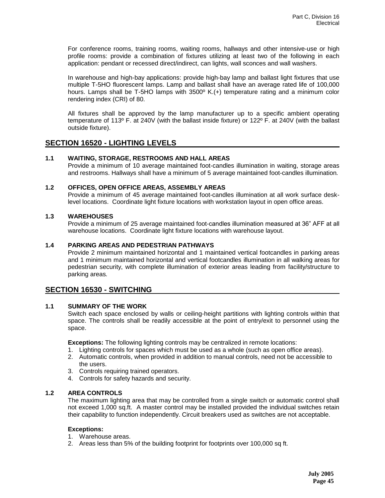For conference rooms, training rooms, waiting rooms, hallways and other intensive-use or high profile rooms: provide a combination of fixtures utilizing at least two of the following in each application: pendant or recessed direct/indirect, can lights, wall sconces and wall washers.

In warehouse and high-bay applications: provide high-bay lamp and ballast light fixtures that use multiple T-5HO fluorescent lamps. Lamp and ballast shall have an average rated life of 100,000 hours. Lamps shall be T-5HO lamps with 3500º K.(+) temperature rating and a minimum color rendering index (CRI) of 80.

All fixtures shall be approved by the lamp manufacturer up to a specific ambient operating temperature of 113º F. at 240V (with the ballast inside fixture) or 122º F. at 240V (with the ballast outside fixture).

# **SECTION 16520 - LIGHTING LEVELS**

## **1.1 WAITING, STORAGE, RESTROOMS AND HALL AREAS**

Provide a minimum of 10 average maintained foot-candles illumination in waiting, storage areas and restrooms. Hallways shall have a minimum of 5 average maintained foot-candles illumination*.*

## **1.2 OFFICES, OPEN OFFICE AREAS, ASSEMBLY AREAS**

Provide a minimum of 45 average maintained foot-candles illumination at all work surface desklevel locations. Coordinate light fixture locations with workstation layout in open office areas.

## **1.3 WAREHOUSES**

Provide a minimum of 25 average maintained foot-candles illumination measured at 36" AFF at all warehouse locations. Coordinate light fixture locations with warehouse layout.

## **1.4 PARKING AREAS AND PEDESTRIAN PATHWAYS**

Provide 2 minimum maintained horizontal and 1 maintained vertical footcandles in parking areas and 1 minimum maintained horizontal and vertical footcandles illumination in all walking areas for pedestrian security, with complete illumination of exterior areas leading from facility/structure to parking areas*.* 

## **SECTION 16530 - SWITCHING**

#### **1.1 SUMMARY OF THE WORK**

Switch each space enclosed by walls or ceiling-height partitions with lighting controls within that space. The controls shall be readily accessible at the point of entry/exit to personnel using the space.

**Exceptions:** The following lighting controls may be centralized in remote locations:

- 1. Lighting controls for spaces which must be used as a whole (such as open office areas).
- 2. Automatic controls, when provided in addition to manual controls, need not be accessible to the users.
- 3. Controls requiring trained operators.
- 4. Controls for safety hazards and security.

#### **1.2 AREA CONTROLS**

The maximum lighting area that may be controlled from a single switch or automatic control shall not exceed 1,000 sq.ft. A master control may be installed provided the individual switches retain their capability to function independently. Circuit breakers used as switches are not acceptable.

#### **Exceptions:**

- 1. Warehouse areas.
- 2. Areas less than 5% of the building footprint for footprints over 100,000 sq ft.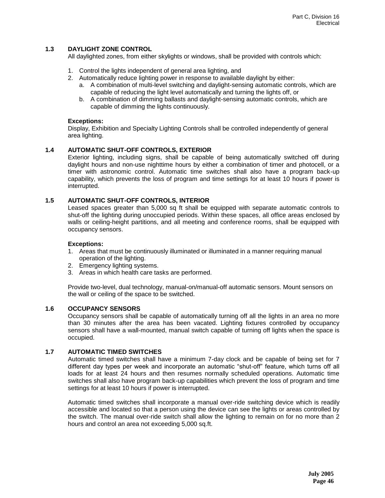## **1.3 DAYLIGHT ZONE CONTROL**

All daylighted zones, from either skylights or windows, shall be provided with controls which:

- 1. Control the lights independent of general area lighting, and
- 2. Automatically reduce lighting power in response to available daylight by either:
	- a. A combination of multi-level switching and daylight-sensing automatic controls, which are capable of reducing the light level automatically and turning the lights off, or
	- b. A combination of dimming ballasts and daylight-sensing automatic controls, which are capable of dimming the lights continuously.

#### **Exceptions:**

Display, Exhibition and Specialty Lighting Controls shall be controlled independently of general area lighting.

## **1.4 AUTOMATIC SHUT-OFF CONTROLS, EXTERIOR**

Exterior lighting, including signs, shall be capable of being automatically switched off during daylight hours and non-use nighttime hours by either a combination of timer and photocell, or a timer with astronomic control. Automatic time switches shall also have a program back-up capability, which prevents the loss of program and time settings for at least 10 hours if power is interrupted.

## **1.5 AUTOMATIC SHUT-OFF CONTROLS, INTERIOR**

Leased spaces greater than 5,000 sq ft shall be equipped with separate automatic controls to shut-off the lighting during unoccupied periods. Within these spaces, all office areas enclosed by walls or ceiling-height partitions, and all meeting and conference rooms, shall be equipped with occupancy sensors.

#### **Exceptions:**

- 1. Areas that must be continuously illuminated or illuminated in a manner requiring manual operation of the lighting.
- 2. Emergency lighting systems.
- 3. Areas in which health care tasks are performed.

Provide two-level, dual technology, manual-on/manual-off automatic sensors. Mount sensors on the wall or ceiling of the space to be switched.

#### **1.6 OCCUPANCY SENSORS**

Occupancy sensors shall be capable of automatically turning off all the lights in an area no more than 30 minutes after the area has been vacated. Lighting fixtures controlled by occupancy sensors shall have a wall-mounted, manual switch capable of turning off lights when the space is occupied.

#### **1.7 AUTOMATIC TIMED SWITCHES**

Automatic timed switches shall have a minimum 7-day clock and be capable of being set for 7 different day types per week and incorporate an automatic "shut-off" feature, which turns off all loads for at least 24 hours and then resumes normally scheduled operations. Automatic time switches shall also have program back-up capabilities which prevent the loss of program and time settings for at least 10 hours if power is interrupted.

Automatic timed switches shall incorporate a manual over-ride switching device which is readily accessible and located so that a person using the device can see the lights or areas controlled by the switch. The manual over-ride switch shall allow the lighting to remain on for no more than 2 hours and control an area not exceeding 5,000 sq.ft.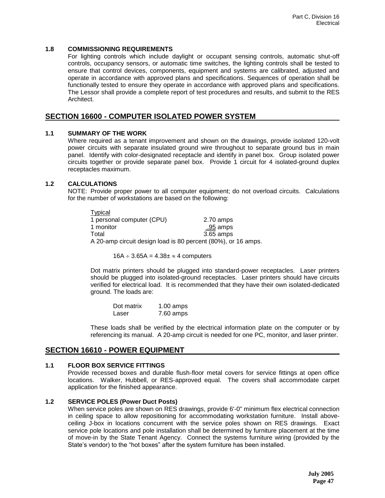### **1.8 COMMISSIONING REQUIREMENTS**

For lighting controls which include daylight or occupant sensing controls, automatic shut-off controls, occupancy sensors, or automatic time switches, the lighting controls shall be tested to ensure that control devices, components, equipment and systems are calibrated, adjusted and operate in accordance with approved plans and specifications. Sequences of operation shall be functionally tested to ensure they operate in accordance with approved plans and specifications. The Lessor shall provide a complete report of test procedures and results, and submit to the RES Architect.

# **SECTION 16600 - COMPUTER ISOLATED POWER SYSTEM**

## **1.1 SUMMARY OF THE WORK**

Where required as a tenant improvement and shown on the drawings, provide isolated 120-volt power circuits with separate insulated ground wire throughout to separate ground bus in main panel. Identify with color-designated receptacle and identify in panel box. Group isolated power circuits together or provide separate panel box. Provide 1 circuit for 4 isolated-ground duplex receptacles maximum.

## **1.2 CALCULATIONS**

NOTE: Provide proper power to all computer equipment; do not overload circuits. Calculations for the number of workstations are based on the following:

| Typical                                                    |           |
|------------------------------------------------------------|-----------|
| 1 personal computer (CPU)                                  | 2.70 amps |
| 1 monitor                                                  | .95 amps  |
| Total                                                      | 3.65 amps |
| A 20-amp circuit design load is 80 persont (80%) or 16 amp |           |

A 20-amp circuit design load is 80 percent (80%), or 16 amps.

 $16A \div 3.65A = 4.38 \pm 4$  computers

Dot matrix printers should be plugged into standard-power receptacles. Laser printers should be plugged into isolated-ground receptacles. Laser printers should have circuits verified for electrical load. It is recommended that they have their own isolated-dedicated ground. The loads are:

| Dot matrix | $1.00$ amps |
|------------|-------------|
| Laser      | 7.60 amps   |

These loads shall be verified by the electrical information plate on the computer or by referencing its manual. A 20-amp circuit is needed for one PC, monitor, and laser printer.

# **SECTION 16610 - POWER EQUIPMENT**

### **1.1 FLOOR BOX SERVICE FITTINGS**

Provide recessed boxes and durable flush-floor metal covers for service fittings at open office locations. Walker, Hubbell, or RES-approved equal. The covers shall accommodate carpet application for the finished appearance.

## **1.2 SERVICE POLES (Power Duct Posts)**

When service poles are shown on RES drawings, provide 6'-0" minimum flex electrical connection in ceiling space to allow repositioning for accommodating workstation furniture. Install aboveceiling J-box in locations concurrent with the service poles shown on RES drawings. Exact service pole locations and pole installation shall be determined by furniture placement at the time of move-in by the State Tenant Agency. Connect the systems furniture wiring (provided by the State's vendor) to the "hot boxes" after the system furniture has been installed.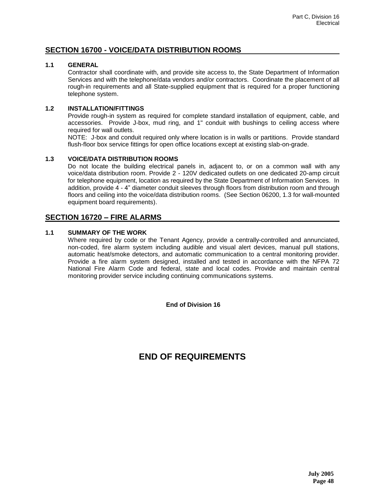# **SECTION 16700 - VOICE/DATA DISTRIBUTION ROOMS**

### **1.1 GENERAL**

Contractor shall coordinate with, and provide site access to, the State Department of Information Services and with the telephone/data vendors and/or contractors. Coordinate the placement of all rough-in requirements and all State-supplied equipment that is required for a proper functioning telephone system.

## **1.2 INSTALLATION/FITTINGS**

Provide rough-in system as required for complete standard installation of equipment, cable, and accessories. Provide J-box, mud ring, and 1" conduit with bushings to ceiling access where required for wall outlets.

NOTE: J-box and conduit required only where location is in walls or partitions. Provide standard flush-floor box service fittings for open office locations except at existing slab-on-grade.

## **1.3 VOICE/DATA DISTRIBUTION ROOMS**

Do not locate the building electrical panels in, adjacent to, or on a common wall with any voice/data distribution room. Provide 2 - 120V dedicated outlets on one dedicated 20-amp circuit for telephone equipment, location as required by the State Department of Information Services. In addition, provide 4 - 4" diameter conduit sleeves through floors from distribution room and through floors and ceiling into the voice/data distribution rooms. (See Section 06200, 1.3 for wall-mounted equipment board requirements).

# **SECTION 16720 – FIRE ALARMS**

## **1.1 SUMMARY OF THE WORK**

Where required by code or the Tenant Agency, provide a centrally-controlled and annunciated, non-coded, fire alarm system including audible and visual alert devices, manual pull stations, automatic heat/smoke detectors, and automatic communication to a central monitoring provider. Provide a fire alarm system designed, installed and tested in accordance with the NFPA 72 National Fire Alarm Code and federal, state and local codes. Provide and maintain central monitoring provider service including continuing communications systems.

**End of Division 16** 

# **END OF REQUIREMENTS**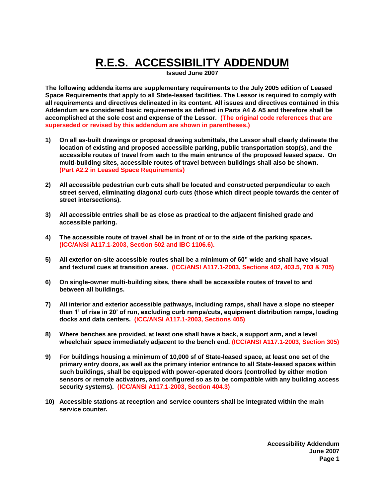# **R.E.S. ACCESSIBILITY ADDENDUM**

**Issued June 2007**

**The following addenda items are supplementary requirements to the July 2005 edition of Leased Space Requirements that apply to all State-leased facilities. The Lessor is required to comply with all requirements and directives delineated in its content. All issues and directives contained in this Addendum are considered basic requirements as defined in Parts A4 & A5 and therefore shall be accomplished at the sole cost and expense of the Lessor. (The original code references that are superseded or revised by this addendum are shown in parentheses.)**

- **1) On all as-built drawings or proposal drawing submittals, the Lessor shall clearly delineate the location of existing and proposed accessible parking, public transportation stop(s), and the accessible routes of travel from each to the main entrance of the proposed leased space. On multi-building sites, accessible routes of travel between buildings shall also be shown. (Part A2.2 in Leased Space Requirements)**
- **2) All accessible pedestrian curb cuts shall be located and constructed perpendicular to each street served, eliminating diagonal curb cuts (those which direct people towards the center of street intersections).**
- **3) All accessible entries shall be as close as practical to the adjacent finished grade and accessible parking.**
- **4) The accessible route of travel shall be in front of or to the side of the parking spaces. (ICC/ANSI A117.1-2003, Section 502 and IBC 1106.6).**
- **5) All exterior on-site accessible routes shall be a minimum of 60" wide and shall have visual and textural cues at transition areas. (ICC/ANSI A117.1-2003, Sections 402, 403.5, 703 & 705)**
- **6) On single-owner multi-building sites, there shall be accessible routes of travel to and between all buildings.**
- **7) All interior and exterior accessible pathways, including ramps, shall have a slope no steeper than 1' of rise in 20' of run, excluding curb ramps/cuts, equipment distribution ramps, loading docks and data centers. (ICC/ANSI A117.1-2003, Sections 405)**
- **8) Where benches are provided, at least one shall have a back, a support arm, and a level wheelchair space immediately adjacent to the bench end. (ICC/ANSI A117.1-2003, Section 305)**
- **9) For buildings housing a minimum of 10,000 sf of State-leased space, at least one set of the primary entry doors, as well as the primary interior entrance to all State-leased spaces within such buildings, shall be equipped with power-operated doors (controlled by either motion sensors or remote activators, and configured so as to be compatible with any building access security systems). (ICC/ANSI A117.1-2003, Section 404.3)**
- **10) Accessible stations at reception and service counters shall be integrated within the main service counter.**

**Accessibility Addendum June 2007 Page 1**